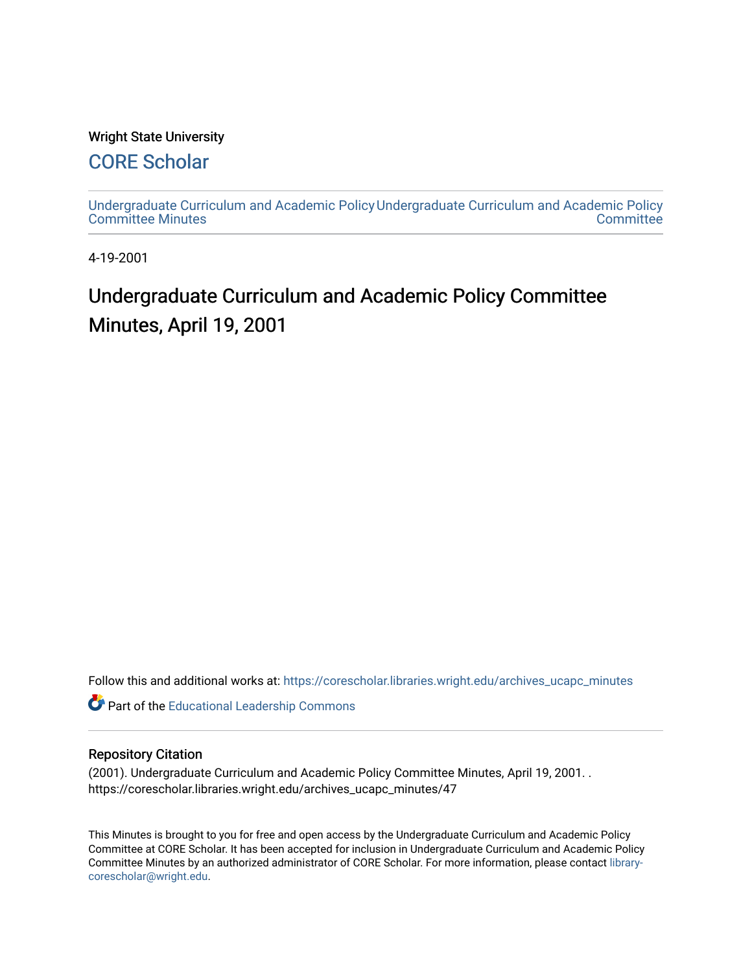# Wright State University

# [CORE Scholar](https://corescholar.libraries.wright.edu/)

[Undergraduate Curriculum and Academic Policy](https://corescholar.libraries.wright.edu/archives_ucapc_minutes) [Undergraduate Curriculum and Academic Policy](https://corescholar.libraries.wright.edu/archives_ucapc)  [Committee Minutes](https://corescholar.libraries.wright.edu/archives_ucapc_minutes) **Committee** 

4-19-2001

# Undergraduate Curriculum and Academic Policy Committee Minutes, April 19, 2001

Follow this and additional works at: [https://corescholar.libraries.wright.edu/archives\\_ucapc\\_minutes](https://corescholar.libraries.wright.edu/archives_ucapc_minutes?utm_source=corescholar.libraries.wright.edu%2Farchives_ucapc_minutes%2F47&utm_medium=PDF&utm_campaign=PDFCoverPages) 

Part of the [Educational Leadership Commons](http://network.bepress.com/hgg/discipline/1230?utm_source=corescholar.libraries.wright.edu%2Farchives_ucapc_minutes%2F47&utm_medium=PDF&utm_campaign=PDFCoverPages) 

#### Repository Citation

(2001). Undergraduate Curriculum and Academic Policy Committee Minutes, April 19, 2001. . https://corescholar.libraries.wright.edu/archives\_ucapc\_minutes/47

This Minutes is brought to you for free and open access by the Undergraduate Curriculum and Academic Policy Committee at CORE Scholar. It has been accepted for inclusion in Undergraduate Curriculum and Academic Policy Committee Minutes by an authorized administrator of CORE Scholar. For more information, please contact [library](mailto:library-corescholar@wright.edu)[corescholar@wright.edu](mailto:library-corescholar@wright.edu).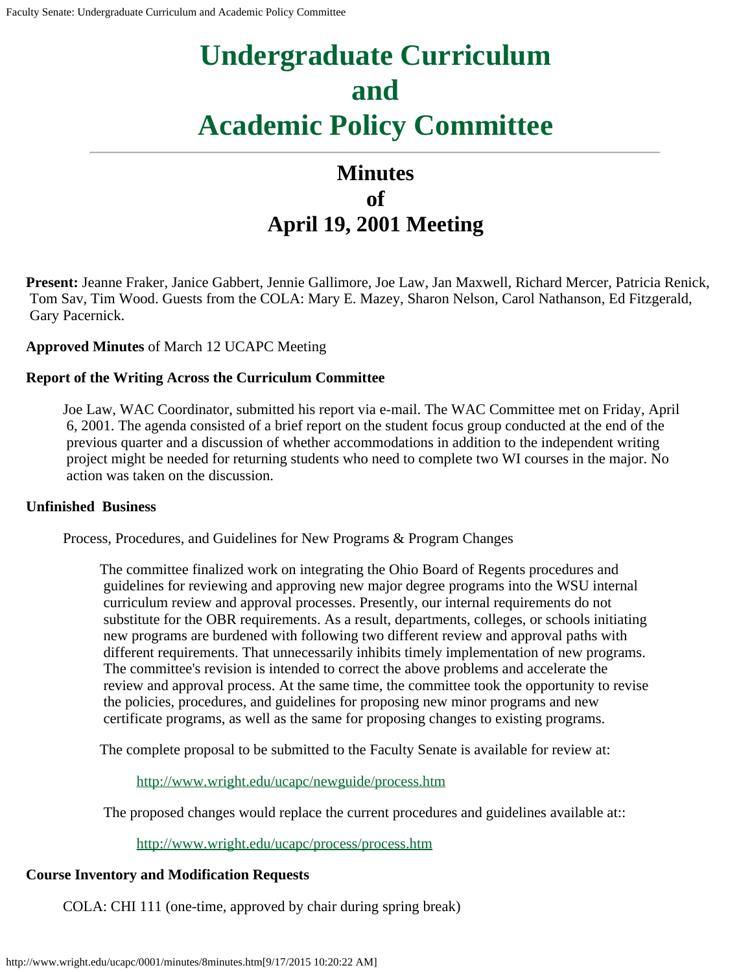# **Undergraduate Curriculum and Academic Policy Committee**

# **Minutes of April 19, 2001 Meeting**

**Present:** Jeanne Fraker, Janice Gabbert, Jennie Gallimore, Joe Law, Jan Maxwell, Richard Mercer, Patricia Renick, Tom Sav, Tim Wood. Guests from the COLA: Mary E. Mazey, Sharon Nelson, Carol Nathanson, Ed Fitzgerald, Gary Pacernick.

# **Approved Minutes** of March 12 UCAPC Meeting

# **Report of the Writing Across the Curriculum Committee**

Joe Law, WAC Coordinator, submitted his report via e-mail. The WAC Committee met on Friday, April 6, 2001. The agenda consisted of a brief report on the student focus group conducted at the end of the previous quarter and a discussion of whether accommodations in addition to the independent writing project might be needed for returning students who need to complete two WI courses in the major. No action was taken on the discussion.

# **Unfinished Business**

Process, Procedures, and Guidelines for New Programs & Program Changes

The committee finalized work on integrating the Ohio Board of Regents procedures and guidelines for reviewing and approving new major degree programs into the WSU internal curriculum review and approval processes. Presently, our internal requirements do not substitute for the OBR requirements. As a result, departments, colleges, or schools initiating new programs are burdened with following two different review and approval paths with different requirements. That unnecessarily inhibits timely implementation of new programs. The committee's revision is intended to correct the above problems and accelerate the review and approval process. At the same time, the committee took the opportunity to revise the policies, procedures, and guidelines for proposing new minor programs and new certificate programs, as well as the same for proposing changes to existing programs.

The complete proposal to be submitted to the Faculty Senate is available for review at:

<http://www.wright.edu/ucapc/newguide/process.htm>

The proposed changes would replace the current procedures and guidelines available at::

<http://www.wright.edu/ucapc/process/process.htm>

# **Course Inventory and Modification Requests**

COLA: CHI 111 (one-time, approved by chair during spring break)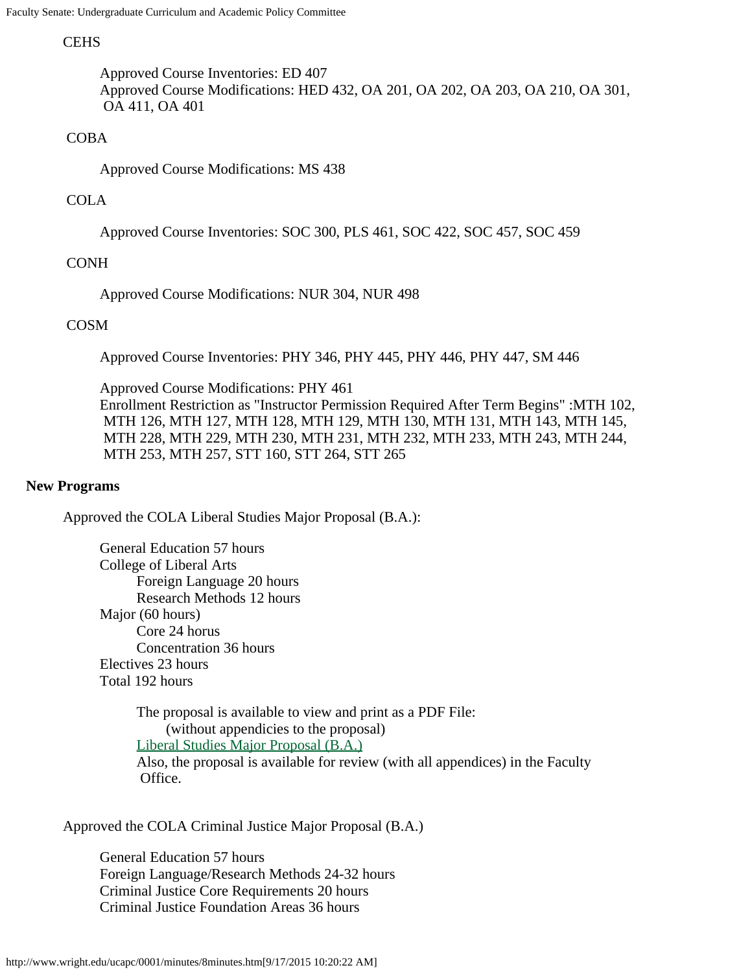# **CEHS**

Approved Course Inventories: ED 407 Approved Course Modifications: HED 432, OA 201, OA 202, OA 203, OA 210, OA 301, OA 411, OA 401

# COBA

Approved Course Modifications: MS 438

# COLA

Approved Course Inventories: SOC 300, PLS 461, SOC 422, SOC 457, SOC 459

# CONH

Approved Course Modifications: NUR 304, NUR 498

# COSM

Approved Course Inventories: PHY 346, PHY 445, PHY 446, PHY 447, SM 446

Approved Course Modifications: PHY 461 Enrollment Restriction as "Instructor Permission Required After Term Begins" :MTH 102, MTH 126, MTH 127, MTH 128, MTH 129, MTH 130, MTH 131, MTH 143, MTH 145, MTH 228, MTH 229, MTH 230, MTH 231, MTH 232, MTH 233, MTH 243, MTH 244, MTH 253, MTH 257, STT 160, STT 264, STT 265

#### **New Programs**

Approved the COLA Liberal Studies Major Proposal (B.A.):

General Education 57 hours College of Liberal Arts Foreign Language 20 hours Research Methods 12 hours Major (60 hours) Core 24 horus Concentration 36 hours Electives 23 hours Total 192 hours

> The proposal is available to view and print as a PDF File: (without appendicies to the proposal) [Liberal Studies Major Proposal \(B.A.\)](#page-4-0) Also, the proposal is available for review (with all appendices) in the Faculty Office.

Approved the COLA Criminal Justice Major Proposal (B.A.)

General Education 57 hours Foreign Language/Research Methods 24-32 hours Criminal Justice Core Requirements 20 hours Criminal Justice Foundation Areas 36 hours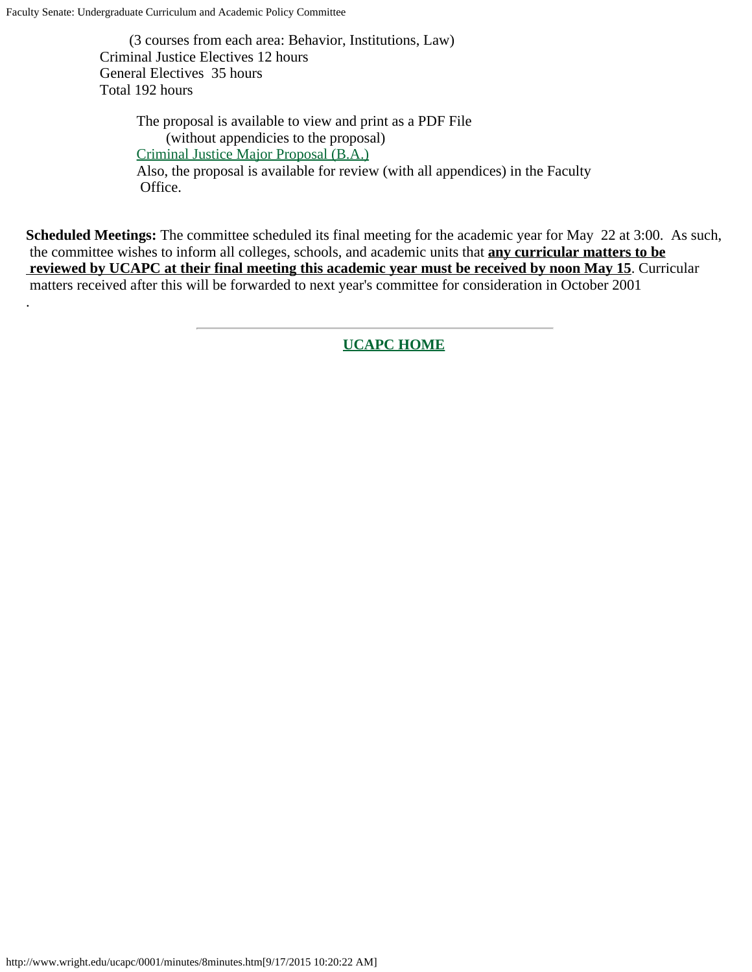Faculty Senate: Undergraduate Curriculum and Academic Policy Committee

.

 (3 courses from each area: Behavior, Institutions, Law) Criminal Justice Electives 12 hours General Electives 35 hours Total 192 hours

> The proposal is available to view and print as a PDF File (without appendicies to the proposal) [Criminal Justice Major Proposal \(B.A.\)](#page-11-0) Also, the proposal is available for review (with all appendices) in the Faculty Office.

**Scheduled Meetings:** The committee scheduled its final meeting for the academic year for May 22 at 3:00. As such, the committee wishes to inform all colleges, schools, and academic units that **any curricular matters to be reviewed by UCAPC at their final meeting this academic year must be received by noon May 15**. Curricular matters received after this will be forwarded to next year's committee for consideration in October 2001

**[UCAPC HOME](http://www.wright.edu/ucapc/index.htm)**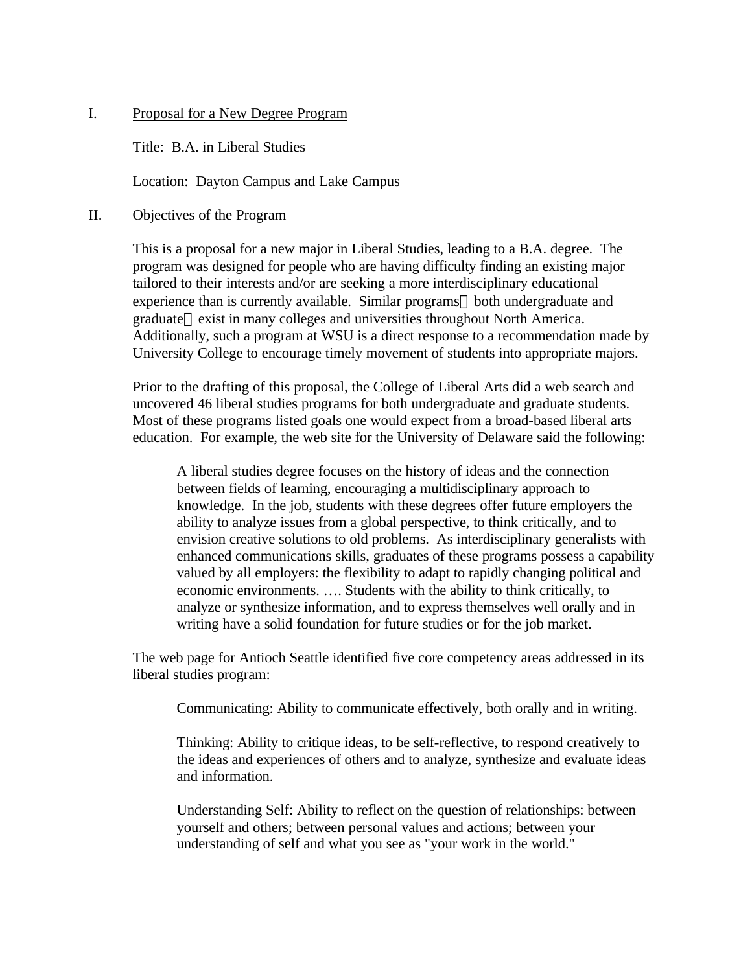# <span id="page-4-0"></span>I. Proposal for a New Degree Program

#### Title: B.A. in Liberal Studies

Location: Dayton Campus and Lake Campus

#### II. Objectives of the Program

This is a proposal for a new major in Liberal Studies, leading to a B.A. degree. The program was designed for people who are having difficulty finding an existing major tailored to their interests and/or are seeking a more interdisciplinary educational experience than is currently available. Similar programs—both undergraduate and graduate—exist in many colleges and universities throughout North America. Additionally, such a program at WSU is a direct response to a recommendation made by University College to encourage timely movement of students into appropriate majors.

Prior to the drafting of this proposal, the College of Liberal Arts did a web search and uncovered 46 liberal studies programs for both undergraduate and graduate students. Most of these programs listed goals one would expect from a broad-based liberal arts education. For example, the web site for the University of Delaware said the following:

A liberal studies degree focuses on the history of ideas and the connection between fields of learning, encouraging a multidisciplinary approach to knowledge. In the job, students with these degrees offer future employers the ability to analyze issues from a global perspective, to think critically, and to envision creative solutions to old problems. As interdisciplinary generalists with enhanced communications skills, graduates of these programs possess a capability valued by all employers: the flexibility to adapt to rapidly changing political and economic environments. …. Students with the ability to think critically, to analyze or synthesize information, and to express themselves well orally and in writing have a solid foundation for future studies or for the job market.

The web page for Antioch Seattle identified five core competency areas addressed in its liberal studies program:

Communicating: Ability to communicate effectively, both orally and in writing.

Thinking: Ability to critique ideas, to be self-reflective, to respond creatively to the ideas and experiences of others and to analyze, synthesize and evaluate ideas and information.

Understanding Self: Ability to reflect on the question of relationships: between yourself and others; between personal values and actions; between your understanding of self and what you see as "your work in the world."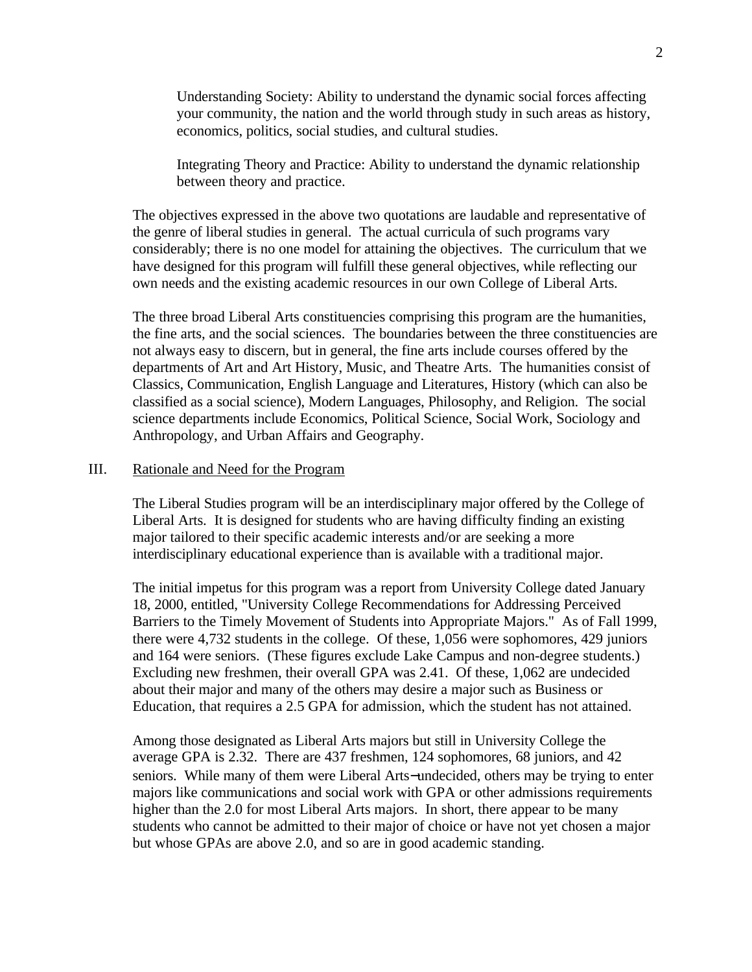Understanding Society: Ability to understand the dynamic social forces affecting your community, the nation and the world through study in such areas as history, economics, politics, social studies, and cultural studies.

Integrating Theory and Practice: Ability to understand the dynamic relationship between theory and practice.

The objectives expressed in the above two quotations are laudable and representative of the genre of liberal studies in general. The actual curricula of such programs vary considerably; there is no one model for attaining the objectives. The curriculum that we have designed for this program will fulfill these general objectives, while reflecting our own needs and the existing academic resources in our own College of Liberal Arts.

The three broad Liberal Arts constituencies comprising this program are the humanities, the fine arts, and the social sciences. The boundaries between the three constituencies are not always easy to discern, but in general, the fine arts include courses offered by the departments of Art and Art History, Music, and Theatre Arts. The humanities consist of Classics, Communication, English Language and Literatures, History (which can also be classified as a social science), Modern Languages, Philosophy, and Religion. The social science departments include Economics, Political Science, Social Work, Sociology and Anthropology, and Urban Affairs and Geography.

#### III. Rationale and Need for the Program

The Liberal Studies program will be an interdisciplinary major offered by the College of Liberal Arts. It is designed for students who are having difficulty finding an existing major tailored to their specific academic interests and/or are seeking a more interdisciplinary educational experience than is available with a traditional major.

The initial impetus for this program was a report from University College dated January 18, 2000, entitled, "University College Recommendations for Addressing Perceived Barriers to the Timely Movement of Students into Appropriate Majors." As of Fall 1999, there were 4,732 students in the college. Of these, 1,056 were sophomores, 429 juniors and 164 were seniors. (These figures exclude Lake Campus and non-degree students.) Excluding new freshmen, their overall GPA was 2.41. Of these, 1,062 are undecided about their major and many of the others may desire a major such as Business or Education, that requires a 2.5 GPA for admission, which the student has not attained.

Among those designated as Liberal Arts majors but still in University College the average GPA is 2.32. There are 437 freshmen, 124 sophomores, 68 juniors, and 42 seniors. While many of them were Liberal Arts−undecided, others may be trying to enter majors like communications and social work with GPA or other admissions requirements higher than the 2.0 for most Liberal Arts majors. In short, there appear to be many students who cannot be admitted to their major of choice or have not yet chosen a major but whose GPAs are above 2.0, and so are in good academic standing.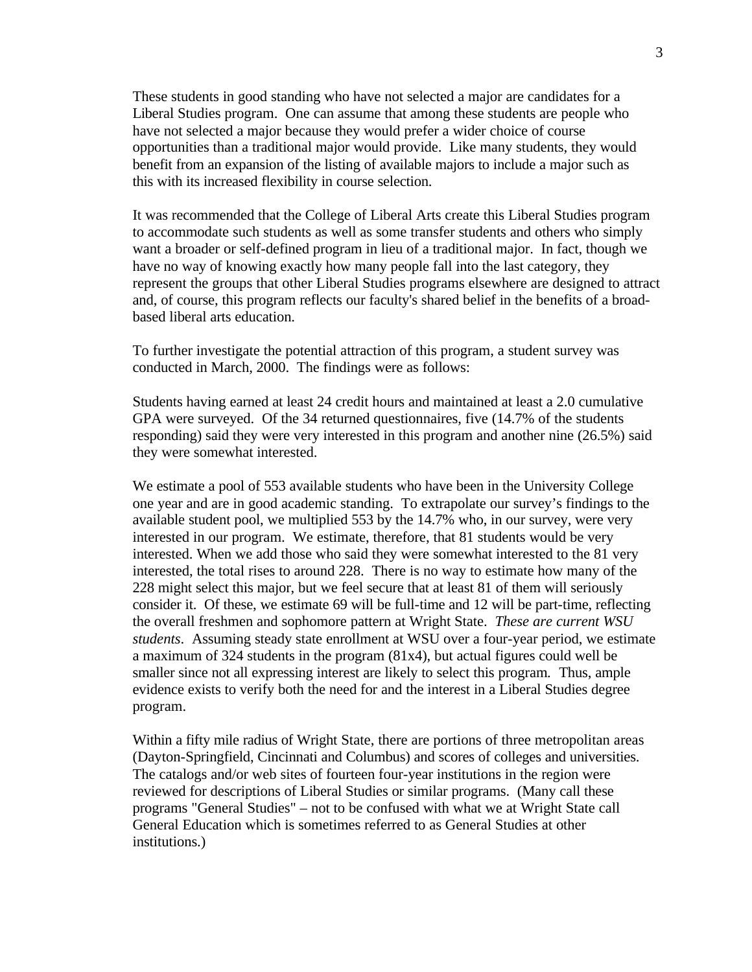These students in good standing who have not selected a major are candidates for a Liberal Studies program. One can assume that among these students are people who have not selected a major because they would prefer a wider choice of course opportunities than a traditional major would provide. Like many students, they would benefit from an expansion of the listing of available majors to include a major such as this with its increased flexibility in course selection.

It was recommended that the College of Liberal Arts create this Liberal Studies program to accommodate such students as well as some transfer students and others who simply want a broader or self-defined program in lieu of a traditional major. In fact, though we have no way of knowing exactly how many people fall into the last category, they represent the groups that other Liberal Studies programs elsewhere are designed to attract and, of course, this program reflects our faculty's shared belief in the benefits of a broadbased liberal arts education.

To further investigate the potential attraction of this program, a student survey was conducted in March, 2000. The findings were as follows:

Students having earned at least 24 credit hours and maintained at least a 2.0 cumulative GPA were surveyed. Of the 34 returned questionnaires, five (14.7% of the students responding) said they were very interested in this program and another nine (26.5%) said they were somewhat interested.

We estimate a pool of 553 available students who have been in the University College one year and are in good academic standing. To extrapolate our survey's findings to the available student pool, we multiplied 553 by the 14.7% who, in our survey, were very interested in our program. We estimate, therefore, that 81 students would be very interested. When we add those who said they were somewhat interested to the 81 very interested, the total rises to around 228. There is no way to estimate how many of the 228 might select this major, but we feel secure that at least 81 of them will seriously consider it. Of these, we estimate 69 will be full-time and 12 will be part-time, reflecting the overall freshmen and sophomore pattern at Wright State. *These are current WSU students*. Assuming steady state enrollment at WSU over a four-year period, we estimate a maximum of 324 students in the program (81x4), but actual figures could well be smaller since not all expressing interest are likely to select this program*.* Thus, ample evidence exists to verify both the need for and the interest in a Liberal Studies degree program.

Within a fifty mile radius of Wright State, there are portions of three metropolitan areas (Dayton-Springfield, Cincinnati and Columbus) and scores of colleges and universities. The catalogs and/or web sites of fourteen four-year institutions in the region were reviewed for descriptions of Liberal Studies or similar programs. (Many call these programs "General Studies" – not to be confused with what we at Wright State call General Education which is sometimes referred to as General Studies at other institutions.)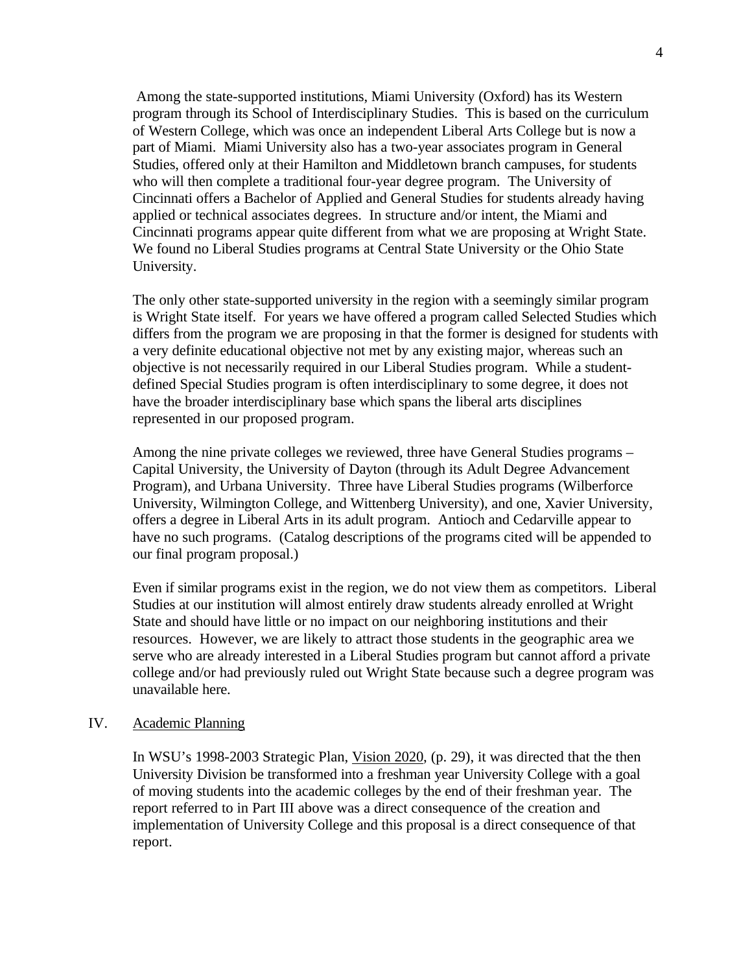Among the state-supported institutions, Miami University (Oxford) has its Western program through its School of Interdisciplinary Studies. This is based on the curriculum of Western College, which was once an independent Liberal Arts College but is now a part of Miami. Miami University also has a two-year associates program in General Studies, offered only at their Hamilton and Middletown branch campuses, for students who will then complete a traditional four-year degree program. The University of Cincinnati offers a Bachelor of Applied and General Studies for students already having applied or technical associates degrees. In structure and/or intent, the Miami and Cincinnati programs appear quite different from what we are proposing at Wright State. We found no Liberal Studies programs at Central State University or the Ohio State University.

The only other state-supported university in the region with a seemingly similar program is Wright State itself. For years we have offered a program called Selected Studies which differs from the program we are proposing in that the former is designed for students with a very definite educational objective not met by any existing major, whereas such an objective is not necessarily required in our Liberal Studies program. While a studentdefined Special Studies program is often interdisciplinary to some degree, it does not have the broader interdisciplinary base which spans the liberal arts disciplines represented in our proposed program.

Among the nine private colleges we reviewed, three have General Studies programs – Capital University, the University of Dayton (through its Adult Degree Advancement Program), and Urbana University. Three have Liberal Studies programs (Wilberforce University, Wilmington College, and Wittenberg University), and one, Xavier University, offers a degree in Liberal Arts in its adult program. Antioch and Cedarville appear to have no such programs. (Catalog descriptions of the programs cited will be appended to our final program proposal.)

Even if similar programs exist in the region, we do not view them as competitors. Liberal Studies at our institution will almost entirely draw students already enrolled at Wright State and should have little or no impact on our neighboring institutions and their resources. However, we are likely to attract those students in the geographic area we serve who are already interested in a Liberal Studies program but cannot afford a private college and/or had previously ruled out Wright State because such a degree program was unavailable here.

#### IV. Academic Planning

In WSU's 1998-2003 Strategic Plan, Vision 2020, (p. 29), it was directed that the then University Division be transformed into a freshman year University College with a goal of moving students into the academic colleges by the end of their freshman year. The report referred to in Part III above was a direct consequence of the creation and implementation of University College and this proposal is a direct consequence of that report.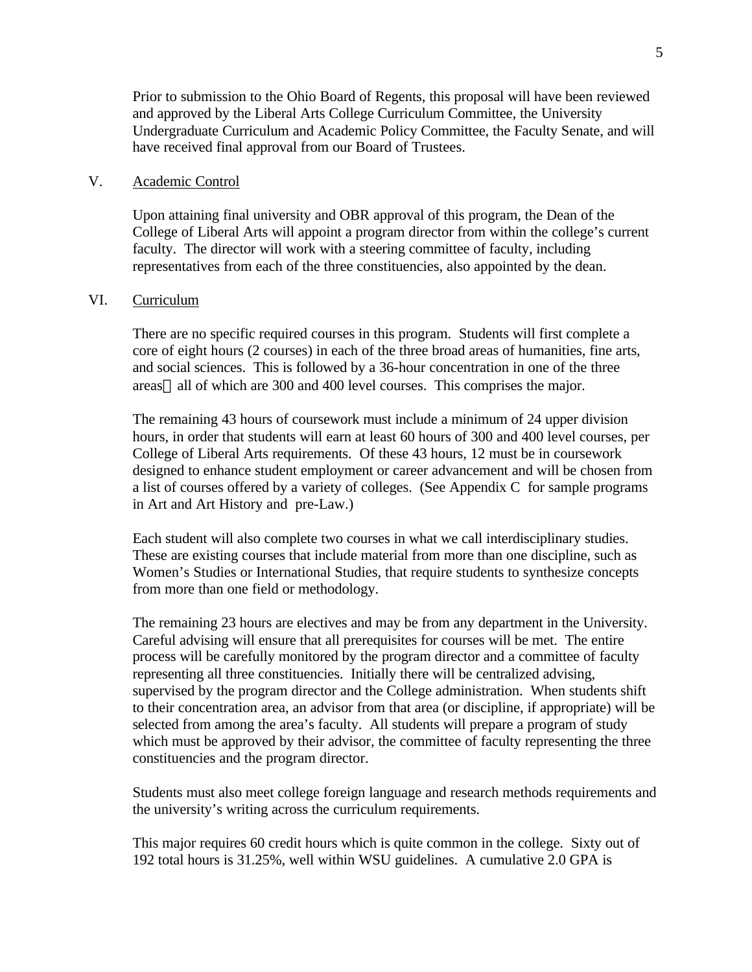Prior to submission to the Ohio Board of Regents, this proposal will have been reviewed and approved by the Liberal Arts College Curriculum Committee, the University Undergraduate Curriculum and Academic Policy Committee, the Faculty Senate, and will have received final approval from our Board of Trustees.

#### V. Academic Control

Upon attaining final university and OBR approval of this program, the Dean of the College of Liberal Arts will appoint a program director from within the college's current faculty. The director will work with a steering committee of faculty, including representatives from each of the three constituencies, also appointed by the dean.

#### VI. Curriculum

There are no specific required courses in this program. Students will first complete a core of eight hours (2 courses) in each of the three broad areas of humanities, fine arts, and social sciences. This is followed by a 36-hour concentration in one of the three areas—all of which are 300 and 400 level courses. This comprises the major.

The remaining 43 hours of coursework must include a minimum of 24 upper division hours, in order that students will earn at least 60 hours of 300 and 400 level courses, per College of Liberal Arts requirements. Of these 43 hours, 12 must be in coursework designed to enhance student employment or career advancement and will be chosen from a list of courses offered by a variety of colleges. (See Appendix C for sample programs in Art and Art History and pre-Law.)

Each student will also complete two courses in what we call interdisciplinary studies. These are existing courses that include material from more than one discipline, such as Women's Studies or International Studies, that require students to synthesize concepts from more than one field or methodology.

The remaining 23 hours are electives and may be from any department in the University. Careful advising will ensure that all prerequisites for courses will be met. The entire process will be carefully monitored by the program director and a committee of faculty representing all three constituencies. Initially there will be centralized advising, supervised by the program director and the College administration. When students shift to their concentration area, an advisor from that area (or discipline, if appropriate) will be selected from among the area's faculty. All students will prepare a program of study which must be approved by their advisor, the committee of faculty representing the three constituencies and the program director.

Students must also meet college foreign language and research methods requirements and the university's writing across the curriculum requirements.

This major requires 60 credit hours which is quite common in the college. Sixty out of 192 total hours is 31.25%, well within WSU guidelines. A cumulative 2.0 GPA is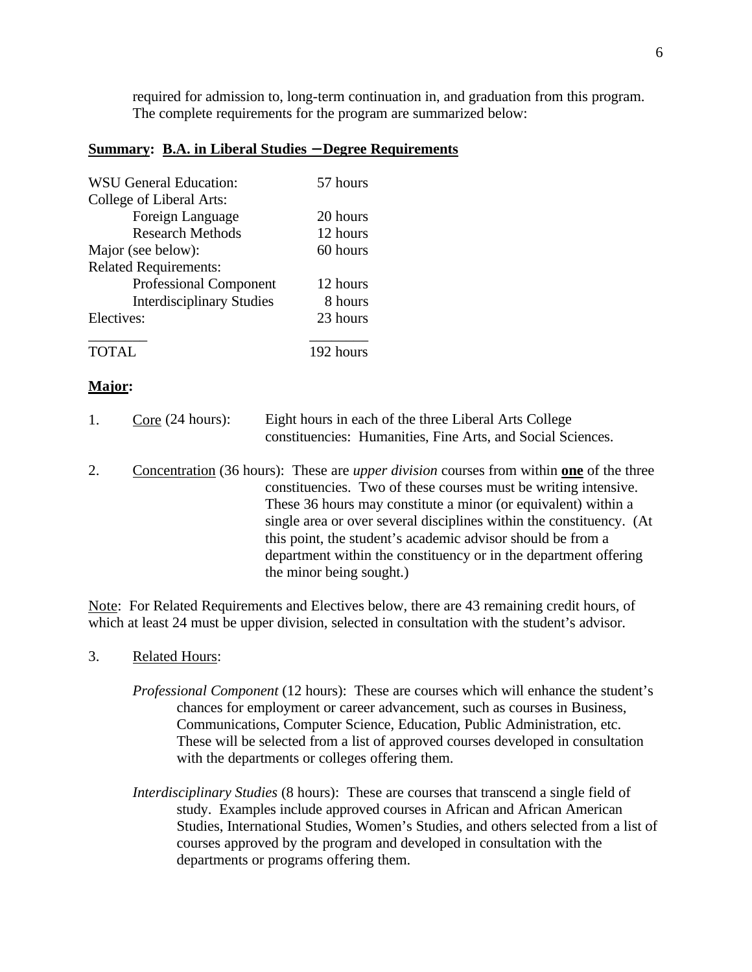required for admission to, long-term continuation in, and graduation from this program. The complete requirements for the program are summarized below:

#### **Summary: B.A. in Liberal Studies** − **Degree Requirements**

| <b>WSU General Education:</b>    | 57 hours  |
|----------------------------------|-----------|
| College of Liberal Arts:         |           |
| Foreign Language                 | 20 hours  |
| <b>Research Methods</b>          | 12 hours  |
| Major (see below):               | 60 hours  |
| <b>Related Requirements:</b>     |           |
| <b>Professional Component</b>    | 12 hours  |
| <b>Interdisciplinary Studies</b> | 8 hours   |
| Electives:                       | 23 hours  |
| <b>TOTAL</b>                     | 192 hours |

#### **Major:**

| $\frac{\text{Core}}{\text{24 hours}}$ : | Eight hours in each of the three Liberal Arts College       |  |
|-----------------------------------------|-------------------------------------------------------------|--|
|                                         | constituencies: Humanities, Fine Arts, and Social Sciences. |  |

2. Concentration (36 hours): These are *upper division* courses from within **one** of the three constituencies. Two of these courses must be writing intensive. These 36 hours may constitute a minor (or equivalent) within a single area or over several disciplines within the constituency. (At this point, the student's academic advisor should be from a department within the constituency or in the department offering the minor being sought.)

Note: For Related Requirements and Electives below, there are 43 remaining credit hours, of which at least 24 must be upper division, selected in consultation with the student's advisor.

#### 3. Related Hours:

- *Professional Component* (12 hours): These are courses which will enhance the student's chances for employment or career advancement, such as courses in Business, Communications, Computer Science, Education, Public Administration, etc. These will be selected from a list of approved courses developed in consultation with the departments or colleges offering them.
- *Interdisciplinary Studies* (8 hours): These are courses that transcend a single field of study. Examples include approved courses in African and African American Studies, International Studies, Women's Studies, and others selected from a list of courses approved by the program and developed in consultation with the departments or programs offering them.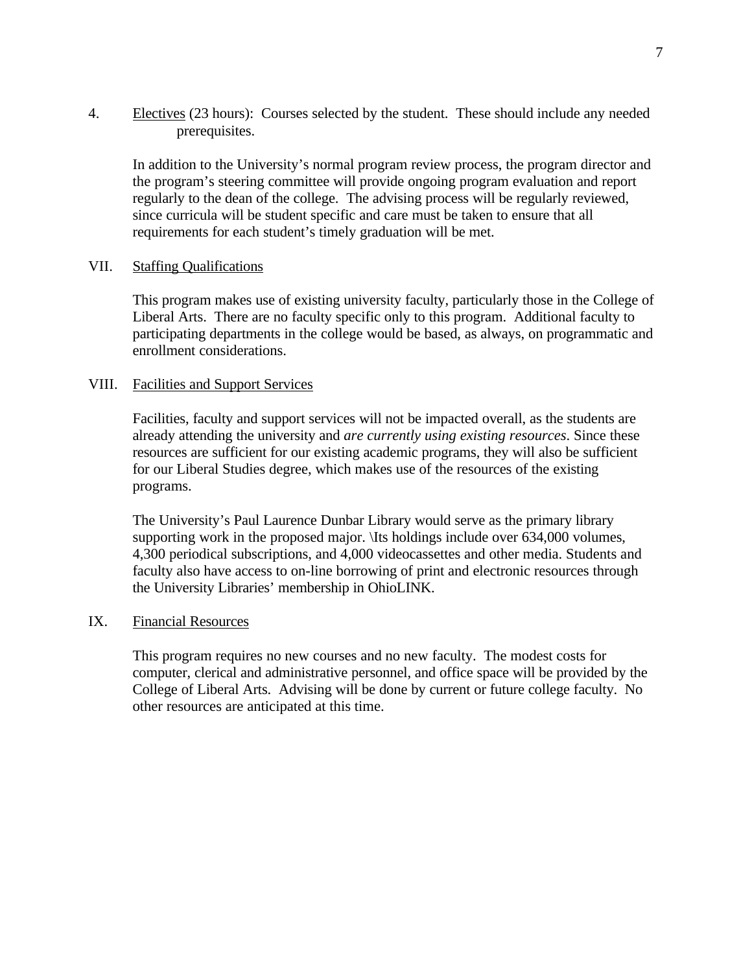4. Electives (23 hours): Courses selected by the student. These should include any needed prerequisites.

In addition to the University's normal program review process, the program director and the program's steering committee will provide ongoing program evaluation and report regularly to the dean of the college. The advising process will be regularly reviewed, since curricula will be student specific and care must be taken to ensure that all requirements for each student's timely graduation will be met.

# VII. Staffing Qualifications

This program makes use of existing university faculty, particularly those in the College of Liberal Arts. There are no faculty specific only to this program. Additional faculty to participating departments in the college would be based, as always, on programmatic and enrollment considerations.

# VIII. Facilities and Support Services

Facilities, faculty and support services will not be impacted overall, as the students are already attending the university and *are currently using existing resources*. Since these resources are sufficient for our existing academic programs, they will also be sufficient for our Liberal Studies degree, which makes use of the resources of the existing programs.

The University's Paul Laurence Dunbar Library would serve as the primary library supporting work in the proposed major. \Its holdings include over 634,000 volumes, 4,300 periodical subscriptions, and 4,000 videocassettes and other media. Students and faculty also have access to on-line borrowing of print and electronic resources through the University Libraries' membership in OhioLINK.

#### IX. Financial Resources

This program requires no new courses and no new faculty. The modest costs for computer, clerical and administrative personnel, and office space will be provided by the College of Liberal Arts. Advising will be done by current or future college faculty. No other resources are anticipated at this time.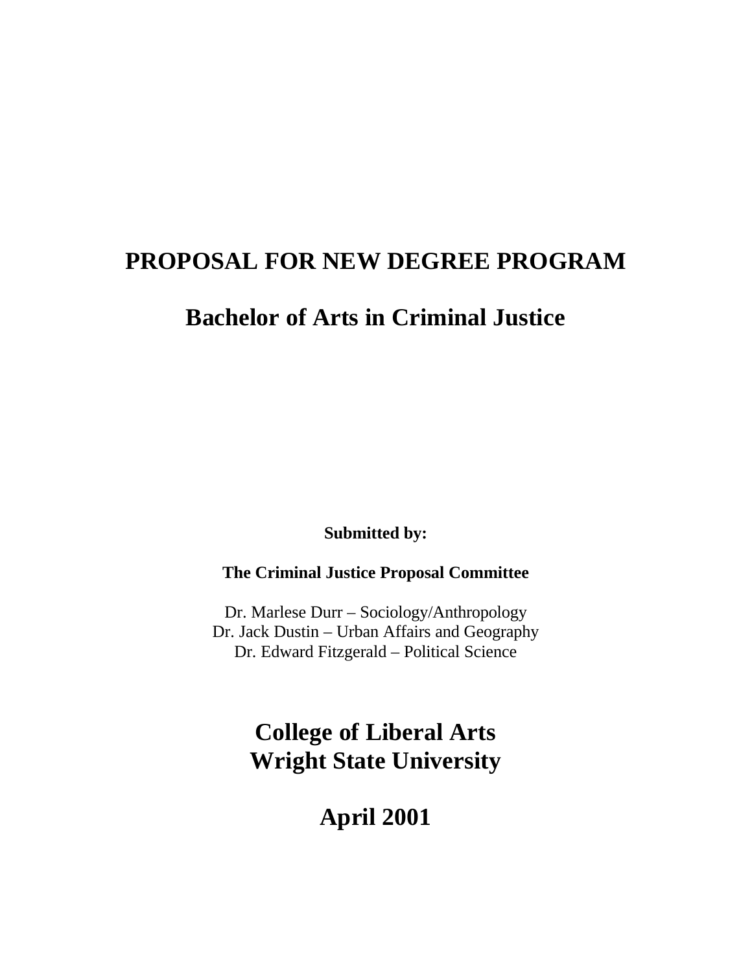# <span id="page-11-0"></span>**PROPOSAL FOR NEW DEGREE PROGRAM**

# **Bachelor of Arts in Criminal Justice**

**Submitted by:**

**The Criminal Justice Proposal Committee**

Dr. Marlese Durr – Sociology/Anthropology Dr. Jack Dustin – Urban Affairs and Geography Dr. Edward Fitzgerald – Political Science

# **College of Liberal Arts Wright State University**

**April 2001**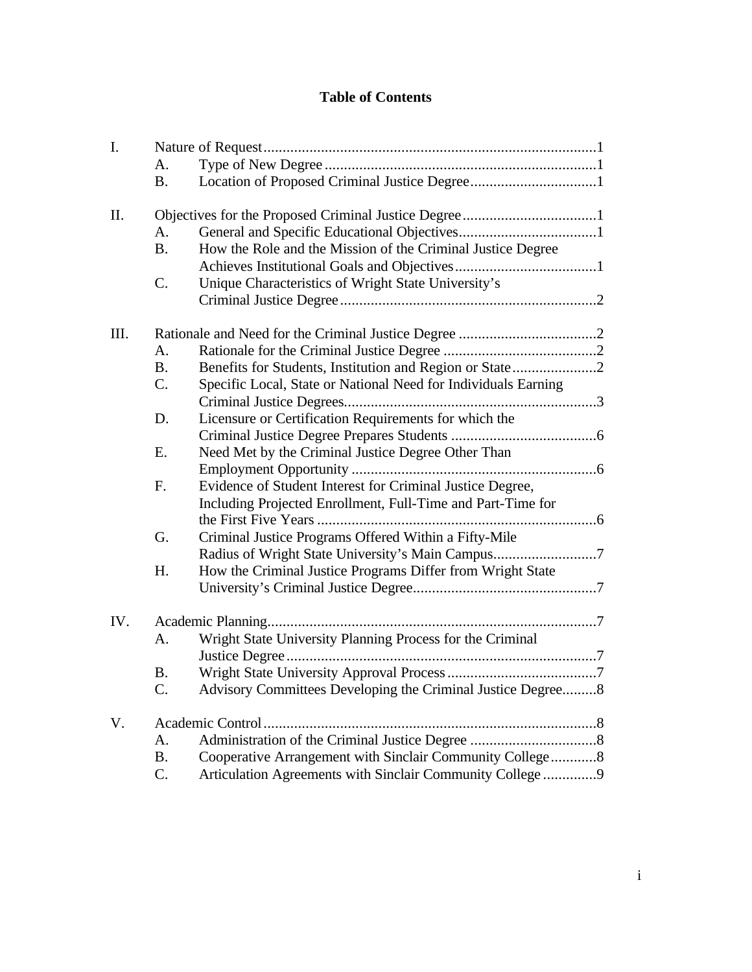# **Table of Contents**

| I.   |           |                                                                |
|------|-----------|----------------------------------------------------------------|
|      | A.        |                                                                |
|      | <b>B.</b> |                                                                |
| II.  |           |                                                                |
|      | A.        |                                                                |
|      | <b>B.</b> | How the Role and the Mission of the Criminal Justice Degree    |
|      |           |                                                                |
|      | C.        | Unique Characteristics of Wright State University's            |
|      |           |                                                                |
| III. |           |                                                                |
|      | A.        |                                                                |
|      | <b>B.</b> | Benefits for Students, Institution and Region or State2        |
|      | C.        | Specific Local, State or National Need for Individuals Earning |
|      |           |                                                                |
|      | D.        | Licensure or Certification Requirements for which the          |
|      |           |                                                                |
|      | E.        | Need Met by the Criminal Justice Degree Other Than             |
|      |           |                                                                |
|      | F.        | Evidence of Student Interest for Criminal Justice Degree,      |
|      |           | Including Projected Enrollment, Full-Time and Part-Time for    |
|      |           |                                                                |
|      | G.        | Criminal Justice Programs Offered Within a Fifty-Mile          |
|      |           | Radius of Wright State University's Main Campus7               |
|      | H.        | How the Criminal Justice Programs Differ from Wright State     |
|      |           |                                                                |
|      |           |                                                                |
| IV.  |           |                                                                |
|      | А.        | Wright State University Planning Process for the Criminal      |
|      |           |                                                                |
|      | <b>B.</b> |                                                                |
|      |           | Advisory Committees Developing the Criminal Justice Degree8    |
| V.   |           | Academic Control                                               |
|      | А.        |                                                                |
|      | <b>B.</b> | Cooperative Arrangement with Sinclair Community College8       |
|      | C.        | Articulation Agreements with Sinclair Community College 9      |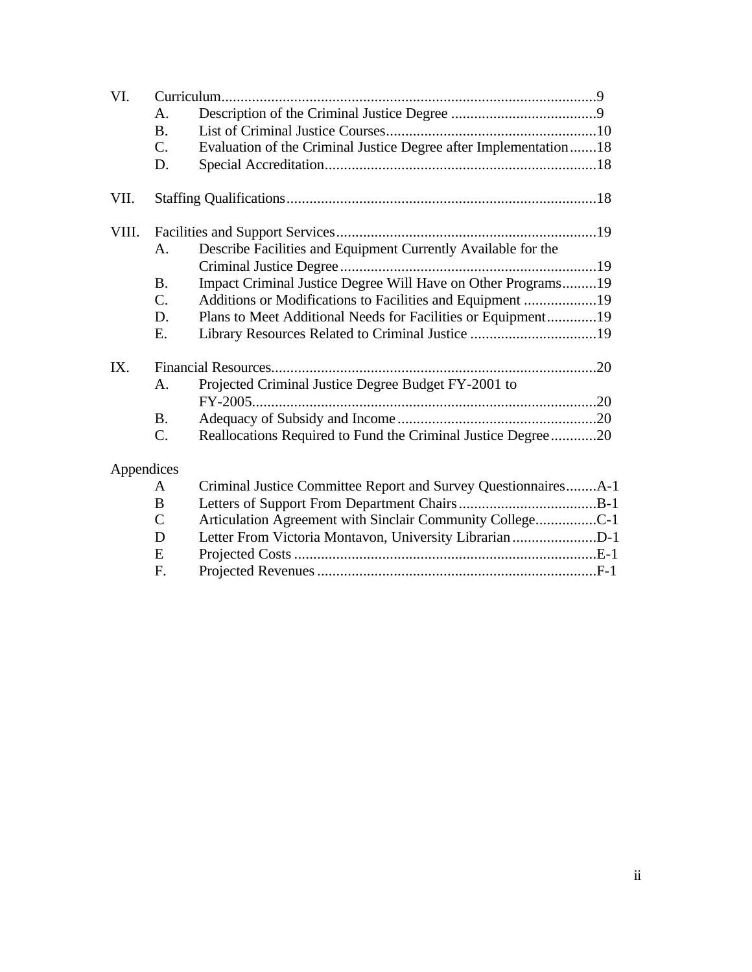| VI.        |                 |                                                                  |  |
|------------|-----------------|------------------------------------------------------------------|--|
|            | A.              |                                                                  |  |
|            | <b>B.</b>       |                                                                  |  |
|            | $\mathcal{C}$ . | Evaluation of the Criminal Justice Degree after Implementation18 |  |
|            | D.              |                                                                  |  |
| VII.       |                 |                                                                  |  |
| VIII.      |                 |                                                                  |  |
|            | А.              | Describe Facilities and Equipment Currently Available for the    |  |
|            |                 |                                                                  |  |
|            | <b>B.</b>       | Impact Criminal Justice Degree Will Have on Other Programs19     |  |
|            | $\mathcal{C}$ . | Additions or Modifications to Facilities and Equipment 19        |  |
|            | D.              | Plans to Meet Additional Needs for Facilities or Equipment19     |  |
|            | E.              | Library Resources Related to Criminal Justice 19                 |  |
| IX.        |                 |                                                                  |  |
|            | А.              | Projected Criminal Justice Degree Budget FY-2001 to              |  |
|            |                 |                                                                  |  |
|            | <b>B.</b>       |                                                                  |  |
|            | C.              | Reallocations Required to Fund the Criminal Justice Degree20     |  |
| Appendices |                 |                                                                  |  |
|            | A               | Criminal Justice Committee Report and Survey QuestionnairesA-1   |  |
|            | B               |                                                                  |  |
|            | $\overline{C}$  | Articulation Agreement with Sinclair Community CollegeC-1        |  |
|            | D               | Letter From Victoria Montavon, University Librarian D-1          |  |
|            | E               |                                                                  |  |
|            | F.              |                                                                  |  |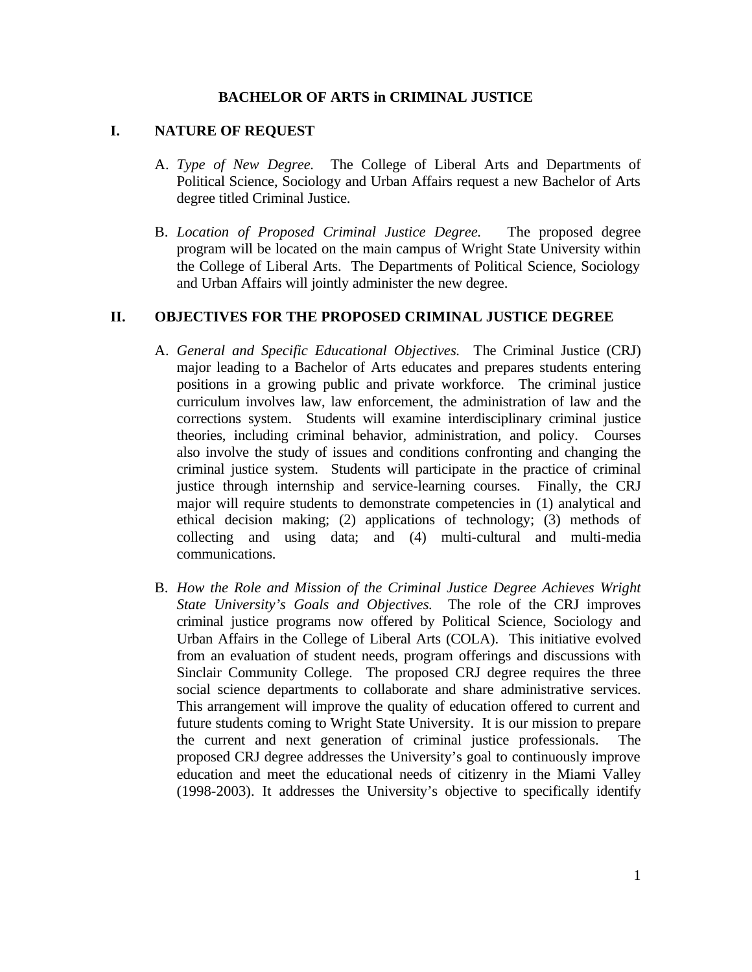#### **BACHELOR OF ARTS in CRIMINAL JUSTICE**

#### **I. NATURE OF REQUEST**

- A. *Type of New Degree.* The College of Liberal Arts and Departments of Political Science, Sociology and Urban Affairs request a new Bachelor of Arts degree titled Criminal Justice.
- B. *Location of Proposed Criminal Justice Degree.* The proposed degree program will be located on the main campus of Wright State University within the College of Liberal Arts. The Departments of Political Science, Sociology and Urban Affairs will jointly administer the new degree.

#### **II. OBJECTIVES FOR THE PROPOSED CRIMINAL JUSTICE DEGREE**

- A. *General and Specific Educational Objectives.* The Criminal Justice (CRJ) major leading to a Bachelor of Arts educates and prepares students entering positions in a growing public and private workforce. The criminal justice curriculum involves law, law enforcement, the administration of law and the corrections system. Students will examine interdisciplinary criminal justice theories, including criminal behavior, administration, and policy. Courses also involve the study of issues and conditions confronting and changing the criminal justice system. Students will participate in the practice of criminal justice through internship and service-learning courses. Finally, the CRJ major will require students to demonstrate competencies in (1) analytical and ethical decision making; (2) applications of technology; (3) methods of collecting and using data; and (4) multi-cultural and multi-media communications.
- B. *How the Role and Mission of the Criminal Justice Degree Achieves Wright State University's Goals and Objectives.* The role of the CRJ improves criminal justice programs now offered by Political Science, Sociology and Urban Affairs in the College of Liberal Arts (COLA). This initiative evolved from an evaluation of student needs, program offerings and discussions with Sinclair Community College. The proposed CRJ degree requires the three social science departments to collaborate and share administrative services. This arrangement will improve the quality of education offered to current and future students coming to Wright State University. It is our mission to prepare the current and next generation of criminal justice professionals. The proposed CRJ degree addresses the University's goal to continuously improve education and meet the educational needs of citizenry in the Miami Valley (1998-2003). It addresses the University's objective to specifically identify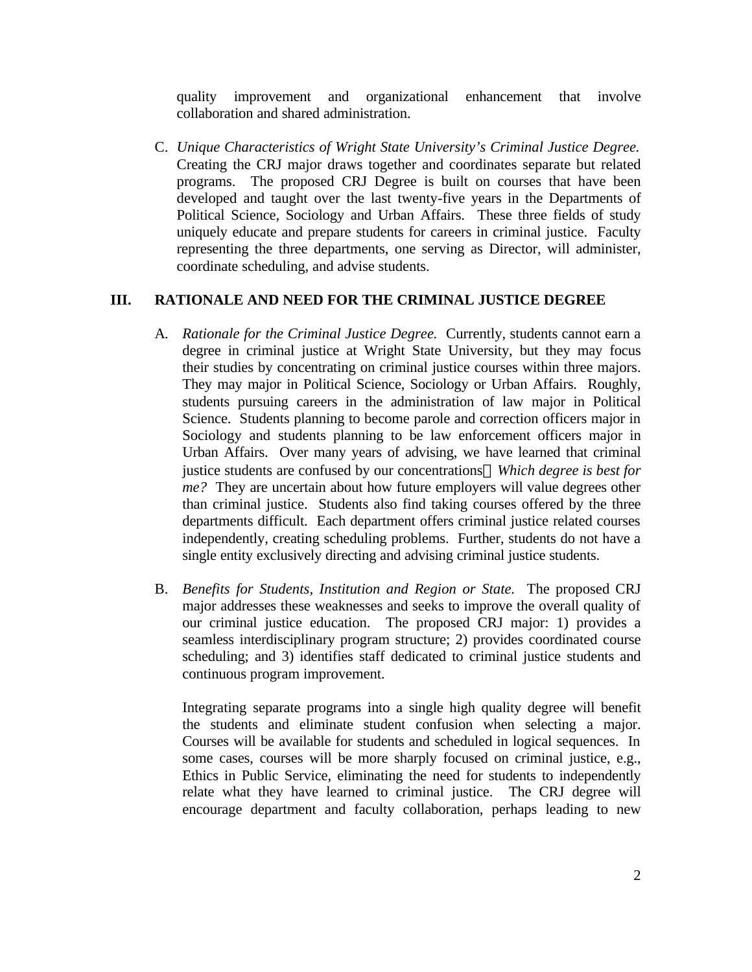quality improvement and organizational enhancement that involve collaboration and shared administration.

C. *Unique Characteristics of Wright State University's Criminal Justice Degree.*  Creating the CRJ major draws together and coordinates separate but related programs. The proposed CRJ Degree is built on courses that have been developed and taught over the last twenty-five years in the Departments of Political Science, Sociology and Urban Affairs. These three fields of study uniquely educate and prepare students for careers in criminal justice. Faculty representing the three departments, one serving as Director, will administer, coordinate scheduling, and advise students.

# **III. RATIONALE AND NEED FOR THE CRIMINAL JUSTICE DEGREE**

- A*. Rationale for the Criminal Justice Degree.* Currently, students cannot earn a degree in criminal justice at Wright State University, but they may focus their studies by concentrating on criminal justice courses within three majors. They may major in Political Science, Sociology or Urban Affairs. Roughly, students pursuing careers in the administration of law major in Political Science. Students planning to become parole and correction officers major in Sociology and students planning to be law enforcement officers major in Urban Affairs. Over many years of advising, we have learned that criminal justice students are confused by our concentrations*Which degree is best for me?* They are uncertain about how future employers will value degrees other than criminal justice. Students also find taking courses offered by the three departments difficult. Each department offers criminal justice related courses independently, creating scheduling problems. Further, students do not have a single entity exclusively directing and advising criminal justice students.
- B. *Benefits for Students, Institution and Region or State.* The proposed CRJ major addresses these weaknesses and seeks to improve the overall quality of our criminal justice education. The proposed CRJ major: 1) provides a seamless interdisciplinary program structure; 2) provides coordinated course scheduling; and 3) identifies staff dedicated to criminal justice students and continuous program improvement.

Integrating separate programs into a single high quality degree will benefit the students and eliminate student confusion when selecting a major. Courses will be available for students and scheduled in logical sequences. In some cases, courses will be more sharply focused on criminal justice, e.g., Ethics in Public Service, eliminating the need for students to independently relate what they have learned to criminal justice. The CRJ degree will encourage department and faculty collaboration, perhaps leading to new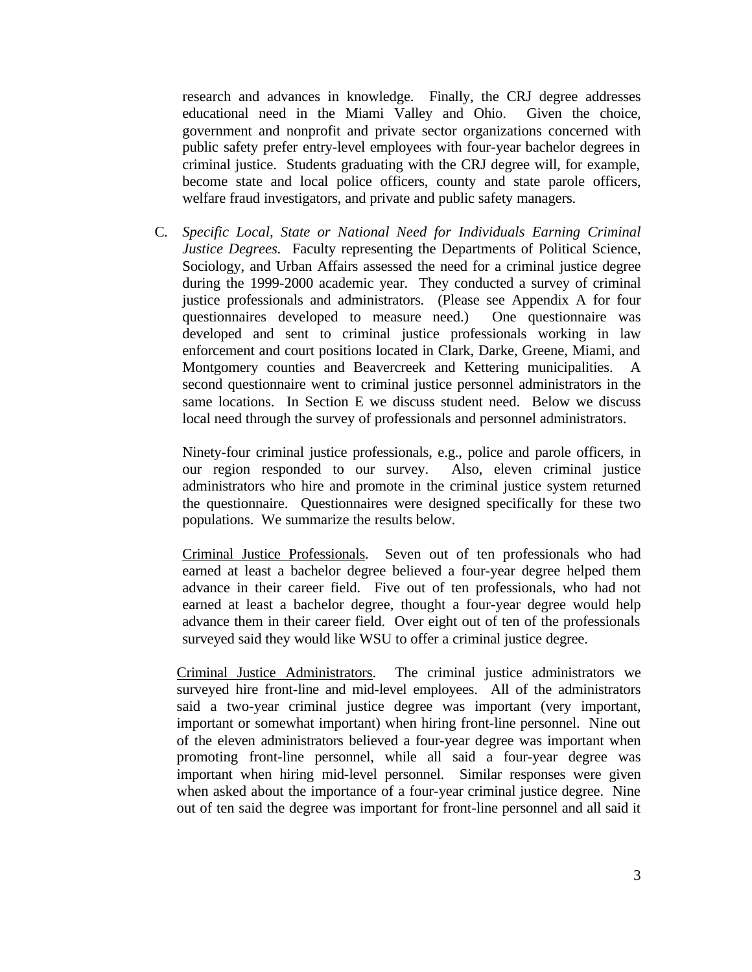research and advances in knowledge. Finally, the CRJ degree addresses educational need in the Miami Valley and Ohio. Given the choice, government and nonprofit and private sector organizations concerned with public safety prefer entry-level employees with four-year bachelor degrees in criminal justice. Students graduating with the CRJ degree will, for example, become state and local police officers, county and state parole officers, welfare fraud investigators, and private and public safety managers.

C*. Specific Local, State or National Need for Individuals Earning Criminal Justice Degrees.* Faculty representing the Departments of Political Science, Sociology, and Urban Affairs assessed the need for a criminal justice degree during the 1999-2000 academic year. They conducted a survey of criminal justice professionals and administrators. (Please see Appendix A for four questionnaires developed to measure need.) One questionnaire was developed and sent to criminal justice professionals working in law enforcement and court positions located in Clark, Darke, Greene, Miami, and Montgomery counties and Beavercreek and Kettering municipalities. A second questionnaire went to criminal justice personnel administrators in the same locations. In Section E we discuss student need. Below we discuss local need through the survey of professionals and personnel administrators.

Ninety-four criminal justice professionals, e.g., police and parole officers, in our region responded to our survey. Also, eleven criminal justice administrators who hire and promote in the criminal justice system returned the questionnaire. Questionnaires were designed specifically for these two populations. We summarize the results below.

Criminal Justice Professionals. Seven out of ten professionals who had earned at least a bachelor degree believed a four-year degree helped them advance in their career field. Five out of ten professionals, who had not earned at least a bachelor degree, thought a four-year degree would help advance them in their career field. Over eight out of ten of the professionals surveyed said they would like WSU to offer a criminal justice degree.

Criminal Justice Administrators. The criminal justice administrators we surveyed hire front-line and mid-level employees. All of the administrators said a two-year criminal justice degree was important (very important, important or somewhat important) when hiring front-line personnel. Nine out of the eleven administrators believed a four-year degree was important when promoting front-line personnel, while all said a four-year degree was important when hiring mid-level personnel. Similar responses were given when asked about the importance of a four-year criminal justice degree. Nine out of ten said the degree was important for front-line personnel and all said it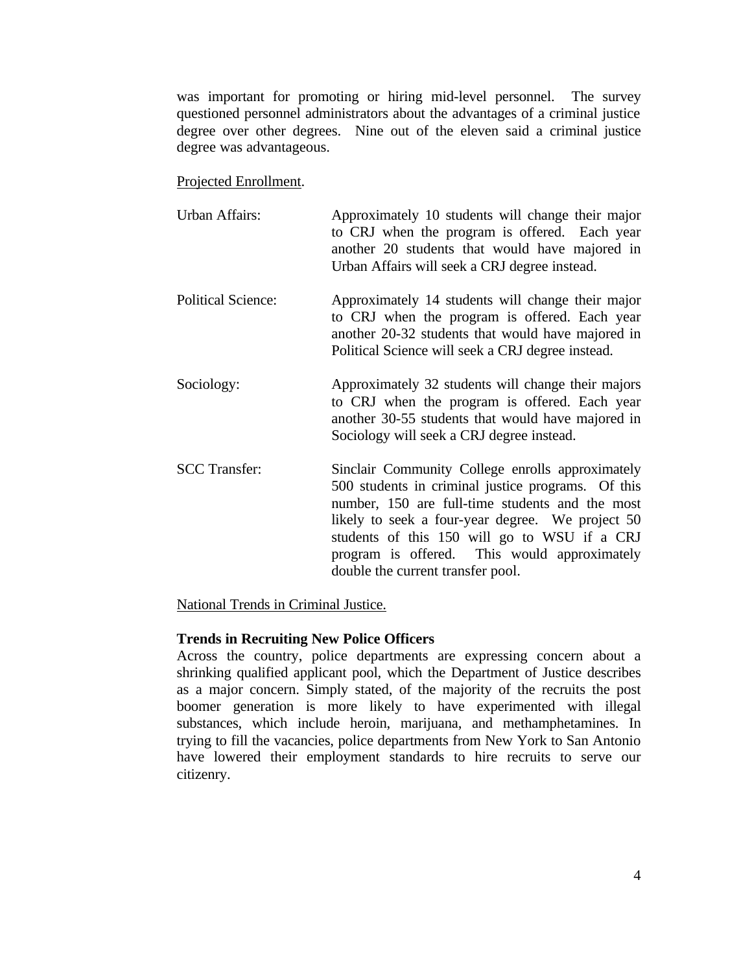was important for promoting or hiring mid-level personnel. The survey questioned personnel administrators about the advantages of a criminal justice degree over other degrees. Nine out of the eleven said a criminal justice degree was advantageous.

#### Projected Enrollment.

| <b>Urban Affairs:</b>     | Approximately 10 students will change their major<br>to CRJ when the program is offered. Each year<br>another 20 students that would have majored in<br>Urban Affairs will seek a CRJ degree instead.                                                                                                                                              |
|---------------------------|----------------------------------------------------------------------------------------------------------------------------------------------------------------------------------------------------------------------------------------------------------------------------------------------------------------------------------------------------|
| <b>Political Science:</b> | Approximately 14 students will change their major<br>to CRJ when the program is offered. Each year<br>another 20-32 students that would have majored in<br>Political Science will seek a CRJ degree instead.                                                                                                                                       |
| Sociology:                | Approximately 32 students will change their majors<br>to CRJ when the program is offered. Each year<br>another 30-55 students that would have majored in<br>Sociology will seek a CRJ degree instead.                                                                                                                                              |
| <b>SCC</b> Transfer:      | Sinclair Community College enrolls approximately<br>500 students in criminal justice programs. Of this<br>number, 150 are full-time students and the most<br>likely to seek a four-year degree. We project 50<br>students of this 150 will go to WSU if a CRJ<br>program is offered. This would approximately<br>double the current transfer pool. |

#### National Trends in Criminal Justice.

#### **Trends in Recruiting New Police Officers**

Across the country, police departments are expressing concern about a shrinking qualified applicant pool, which the Department of Justice describes as a major concern. Simply stated, of the majority of the recruits the post boomer generation is more likely to have experimented with illegal substances, which include heroin, marijuana, and methamphetamines. In trying to fill the vacancies, police departments from New York to San Antonio have lowered their employment standards to hire recruits to serve our citizenry.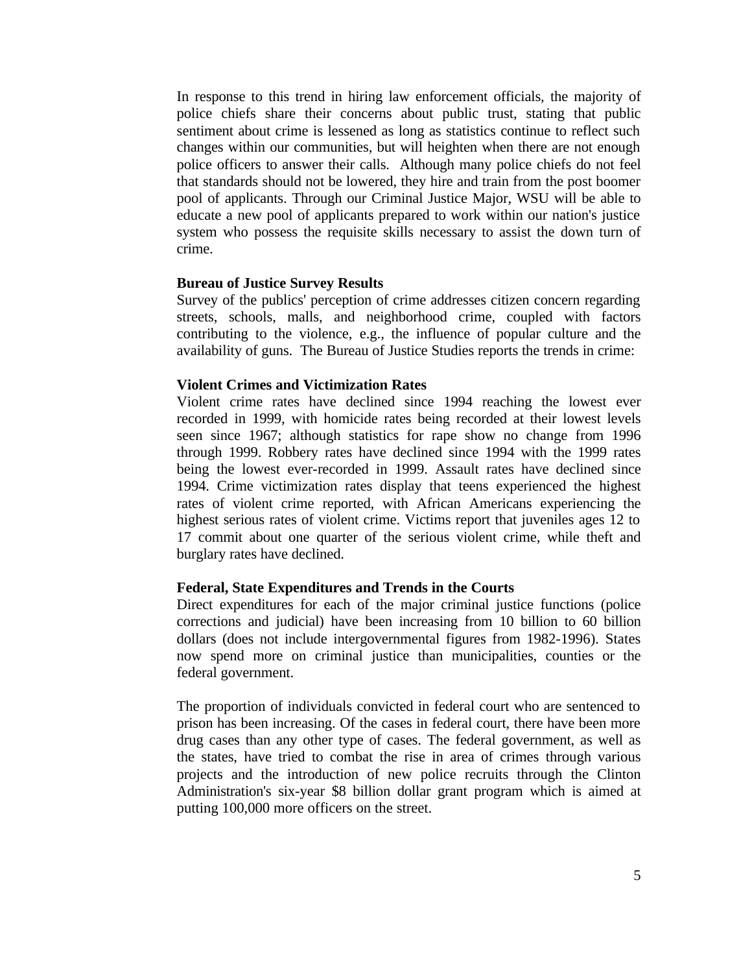In response to this trend in hiring law enforcement officials, the majority of police chiefs share their concerns about public trust, stating that public sentiment about crime is lessened as long as statistics continue to reflect such changes within our communities, but will heighten when there are not enough police officers to answer their calls. Although many police chiefs do not feel that standards should not be lowered, they hire and train from the post boomer pool of applicants. Through our Criminal Justice Major, WSU will be able to educate a new pool of applicants prepared to work within our nation's justice system who possess the requisite skills necessary to assist the down turn of crime.

#### **Bureau of Justice Survey Results**

Survey of the publics' perception of crime addresses citizen concern regarding streets, schools, malls, and neighborhood crime, coupled with factors contributing to the violence, e.g., the influence of popular culture and the availability of guns. The Bureau of Justice Studies reports the trends in crime:

#### **Violent Crimes and Victimization Rates**

Violent crime rates have declined since 1994 reaching the lowest ever recorded in 1999, with homicide rates being recorded at their lowest levels seen since 1967; although statistics for rape show no change from 1996 through 1999. Robbery rates have declined since 1994 with the 1999 rates being the lowest ever-recorded in 1999. Assault rates have declined since 1994. Crime victimization rates display that teens experienced the highest rates of violent crime reported, with African Americans experiencing the highest serious rates of violent crime. Victims report that juveniles ages 12 to 17 commit about one quarter of the serious violent crime, while theft and burglary rates have declined.

#### **Federal, State Expenditures and Trends in the Courts**

Direct expenditures for each of the major criminal justice functions (police corrections and judicial) have been increasing from 10 billion to 60 billion dollars (does not include intergovernmental figures from 1982-1996). States now spend more on criminal justice than municipalities, counties or the federal government.

The proportion of individuals convicted in federal court who are sentenced to prison has been increasing. Of the cases in federal court, there have been more drug cases than any other type of cases. The federal government, as well as the states, have tried to combat the rise in area of crimes through various projects and the introduction of new police recruits through the Clinton Administration's six-year \$8 billion dollar grant program which is aimed at putting 100,000 more officers on the street.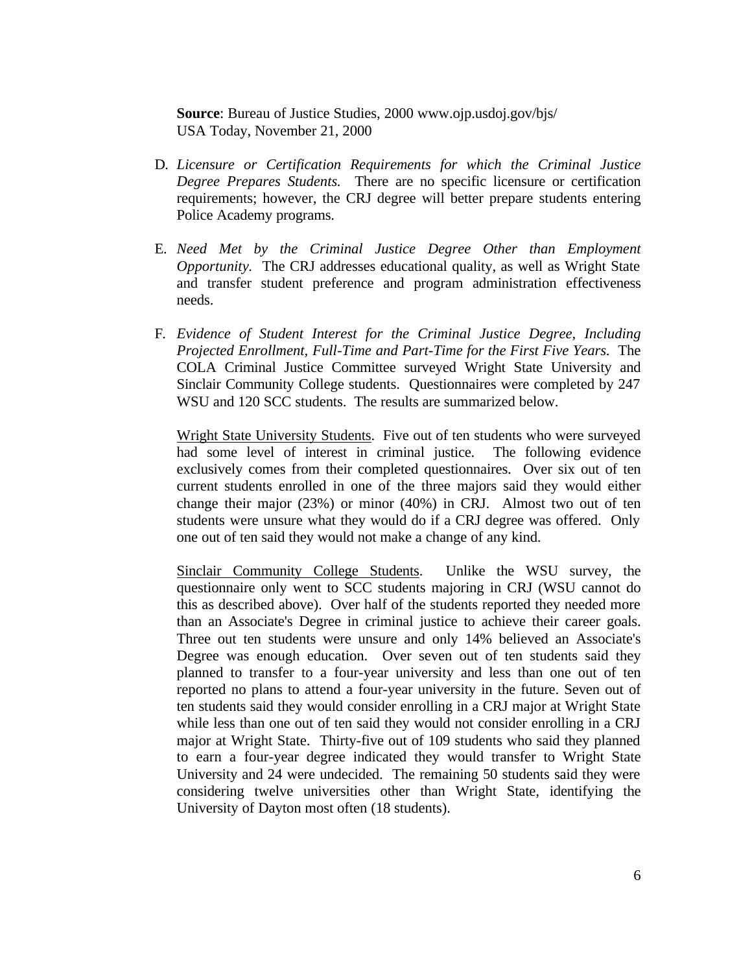**Source**: Bureau of Justice Studies, 2000 www.ojp.usdoj.gov/bjs/ USA Today, November 21, 2000

- D*. Licensure or Certification Requirements for which the Criminal Justice Degree Prepares Students.* There are no specific licensure or certification requirements; however, the CRJ degree will better prepare students entering Police Academy programs.
- E*. Need Met by the Criminal Justice Degree Other than Employment Opportunity.* The CRJ addresses educational quality, as well as Wright State and transfer student preference and program administration effectiveness needs.
- F*. Evidence of Student Interest for the Criminal Justice Degree, Including Projected Enrollment, Full-Time and Part-Time for the First Five Years.* The COLA Criminal Justice Committee surveyed Wright State University and Sinclair Community College students. Questionnaires were completed by 247 WSU and 120 SCC students. The results are summarized below.

Wright State University Students. Five out of ten students who were surveyed had some level of interest in criminal justice. The following evidence exclusively comes from their completed questionnaires. Over six out of ten current students enrolled in one of the three majors said they would either change their major (23%) or minor (40%) in CRJ. Almost two out of ten students were unsure what they would do if a CRJ degree was offered. Only one out of ten said they would not make a change of any kind.

Sinclair Community College Students. Unlike the WSU survey, the questionnaire only went to SCC students majoring in CRJ (WSU cannot do this as described above). Over half of the students reported they needed more than an Associate's Degree in criminal justice to achieve their career goals. Three out ten students were unsure and only 14% believed an Associate's Degree was enough education. Over seven out of ten students said they planned to transfer to a four-year university and less than one out of ten reported no plans to attend a four-year university in the future. Seven out of ten students said they would consider enrolling in a CRJ major at Wright State while less than one out of ten said they would not consider enrolling in a CRJ major at Wright State. Thirty-five out of 109 students who said they planned to earn a four-year degree indicated they would transfer to Wright State University and 24 were undecided. The remaining 50 students said they were considering twelve universities other than Wright State, identifying the University of Dayton most often (18 students).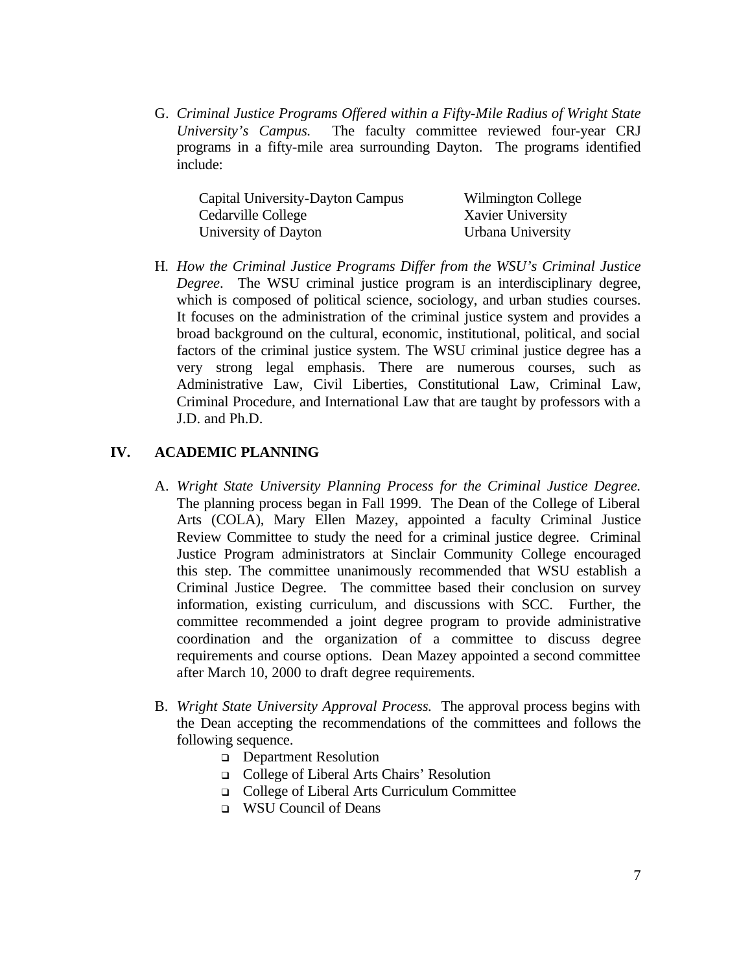G. *Criminal Justice Programs Offered within a Fifty-Mile Radius of Wright State University's Campus.* The faculty committee reviewed four-year CRJ programs in a fifty-mile area surrounding Dayton. The programs identified include:

| Capital University-Dayton Campus | Wilmington College |
|----------------------------------|--------------------|
| Cedarville College               | Xavier University  |
| University of Dayton             | Urbana University  |

H*. How the Criminal Justice Programs Differ from the WSU's Criminal Justice Degree*. The WSU criminal justice program is an interdisciplinary degree, which is composed of political science, sociology, and urban studies courses. It focuses on the administration of the criminal justice system and provides a broad background on the cultural, economic, institutional, political, and social factors of the criminal justice system. The WSU criminal justice degree has a very strong legal emphasis. There are numerous courses, such as Administrative Law, Civil Liberties, Constitutional Law, Criminal Law, Criminal Procedure, and International Law that are taught by professors with a J.D. and Ph.D.

# **IV. ACADEMIC PLANNING**

- A. *Wright State University Planning Process for the Criminal Justice Degree.*  The planning process began in Fall 1999. The Dean of the College of Liberal Arts (COLA), Mary Ellen Mazey, appointed a faculty Criminal Justice Review Committee to study the need for a criminal justice degree. Criminal Justice Program administrators at Sinclair Community College encouraged this step. The committee unanimously recommended that WSU establish a Criminal Justice Degree. The committee based their conclusion on survey information, existing curriculum, and discussions with SCC. Further, the committee recommended a joint degree program to provide administrative coordination and the organization of a committee to discuss degree requirements and course options. Dean Mazey appointed a second committee after March 10, 2000 to draft degree requirements.
- B. *Wright State University Approval Process.* The approval process begins with the Dean accepting the recommendations of the committees and follows the following sequence.
	- **Q** Department Resolution
	- <sup>q</sup> College of Liberal Arts Chairs' Resolution
	- <sup>q</sup> College of Liberal Arts Curriculum Committee
	- <sup>q</sup> WSU Council of Deans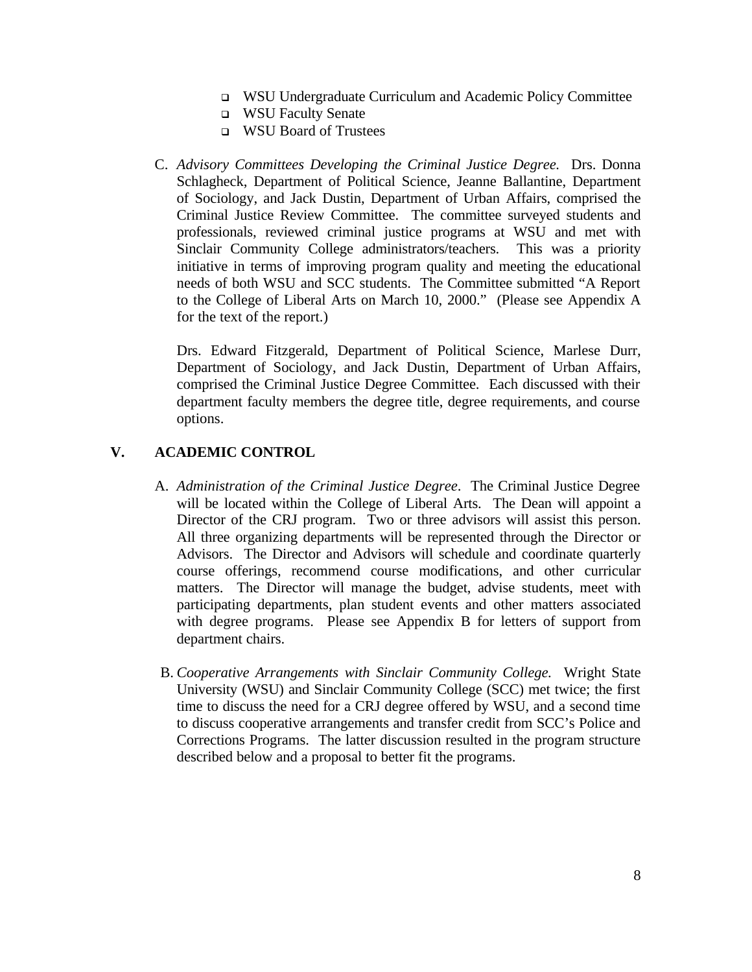- <sup>q</sup> WSU Undergraduate Curriculum and Academic Policy Committee
- <sup>q</sup> WSU Faculty Senate
- **Q** WSU Board of Trustees
- C. *Advisory Committees Developing the Criminal Justice Degree.* Drs. Donna Schlagheck, Department of Political Science, Jeanne Ballantine, Department of Sociology, and Jack Dustin, Department of Urban Affairs, comprised the Criminal Justice Review Committee. The committee surveyed students and professionals, reviewed criminal justice programs at WSU and met with Sinclair Community College administrators/teachers. This was a priority initiative in terms of improving program quality and meeting the educational needs of both WSU and SCC students. The Committee submitted "A Report to the College of Liberal Arts on March 10, 2000." (Please see Appendix A for the text of the report.)

Drs. Edward Fitzgerald, Department of Political Science, Marlese Durr, Department of Sociology, and Jack Dustin, Department of Urban Affairs, comprised the Criminal Justice Degree Committee. Each discussed with their department faculty members the degree title, degree requirements, and course options.

# **V. ACADEMIC CONTROL**

- A. *Administration of the Criminal Justice Degree*. The Criminal Justice Degree will be located within the College of Liberal Arts. The Dean will appoint a Director of the CRJ program. Two or three advisors will assist this person. All three organizing departments will be represented through the Director or Advisors. The Director and Advisors will schedule and coordinate quarterly course offerings, recommend course modifications, and other curricular matters. The Director will manage the budget, advise students, meet with participating departments, plan student events and other matters associated with degree programs. Please see Appendix B for letters of support from department chairs.
- B. *Cooperative Arrangements with Sinclair Community College.* Wright State University (WSU) and Sinclair Community College (SCC) met twice; the first time to discuss the need for a CRJ degree offered by WSU, and a second time to discuss cooperative arrangements and transfer credit from SCC's Police and Corrections Programs. The latter discussion resulted in the program structure described below and a proposal to better fit the programs.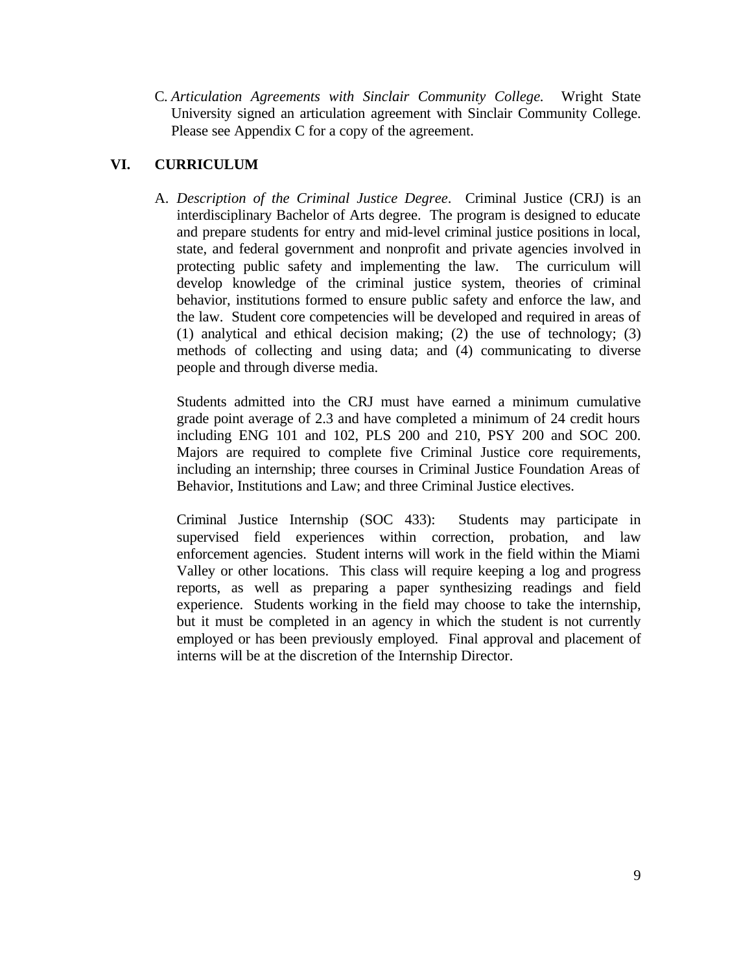C*. Articulation Agreements with Sinclair Community College.* Wright State University signed an articulation agreement with Sinclair Community College. Please see Appendix C for a copy of the agreement.

# **VI. CURRICULUM**

A. *Description of the Criminal Justice Degree*. Criminal Justice (CRJ) is an interdisciplinary Bachelor of Arts degree. The program is designed to educate and prepare students for entry and mid-level criminal justice positions in local, state, and federal government and nonprofit and private agencies involved in protecting public safety and implementing the law. The curriculum will develop knowledge of the criminal justice system, theories of criminal behavior, institutions formed to ensure public safety and enforce the law, and the law. Student core competencies will be developed and required in areas of (1) analytical and ethical decision making; (2) the use of technology; (3) methods of collecting and using data; and (4) communicating to diverse people and through diverse media.

Students admitted into the CRJ must have earned a minimum cumulative grade point average of 2.3 and have completed a minimum of 24 credit hours including ENG 101 and 102, PLS 200 and 210, PSY 200 and SOC 200. Majors are required to complete five Criminal Justice core requirements, including an internship; three courses in Criminal Justice Foundation Areas of Behavior, Institutions and Law; and three Criminal Justice electives.

Criminal Justice Internship (SOC 433): Students may participate in supervised field experiences within correction, probation, and law enforcement agencies. Student interns will work in the field within the Miami Valley or other locations. This class will require keeping a log and progress reports, as well as preparing a paper synthesizing readings and field experience. Students working in the field may choose to take the internship, but it must be completed in an agency in which the student is not currently employed or has been previously employed. Final approval and placement of interns will be at the discretion of the Internship Director.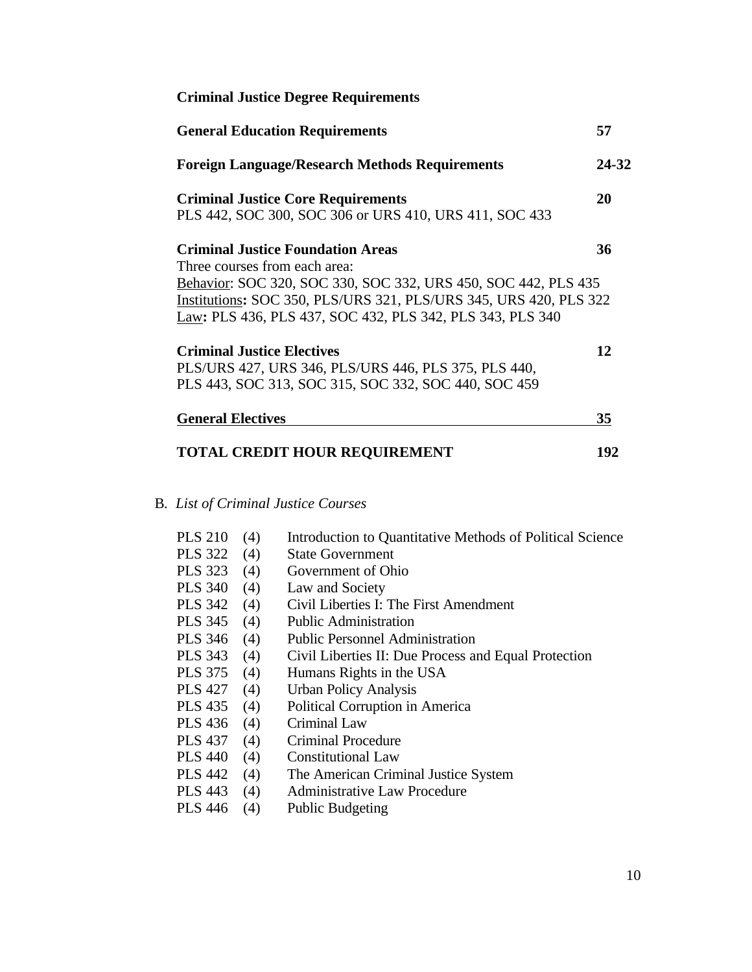| <b>Criminal Justice Degree Requirements</b>                                                                                                                                                                                                                                   |       |
|-------------------------------------------------------------------------------------------------------------------------------------------------------------------------------------------------------------------------------------------------------------------------------|-------|
| <b>General Education Requirements</b>                                                                                                                                                                                                                                         | 57    |
| <b>Foreign Language/Research Methods Requirements</b>                                                                                                                                                                                                                         | 24-32 |
| <b>Criminal Justice Core Requirements</b><br>PLS 442, SOC 300, SOC 306 or URS 410, URS 411, SOC 433                                                                                                                                                                           | 20    |
| <b>Criminal Justice Foundation Areas</b><br>Three courses from each area:<br>Behavior: SOC 320, SOC 330, SOC 332, URS 450, SOC 442, PLS 435<br>Institutions: SOC 350, PLS/URS 321, PLS/URS 345, URS 420, PLS 322<br>Law: PLS 436, PLS 437, SOC 432, PLS 342, PLS 343, PLS 340 | 36    |
| <b>Criminal Justice Electives</b><br>PLS/URS 427, URS 346, PLS/URS 446, PLS 375, PLS 440,<br>PLS 443, SOC 313, SOC 315, SOC 332, SOC 440, SOC 459                                                                                                                             | 12    |
| <b>General Electives</b>                                                                                                                                                                                                                                                      | 35    |
| <b>TOTAL CREDIT HOUR REQUIREMENT</b>                                                                                                                                                                                                                                          | 192   |

B*. List of Criminal Justice Courses*

| <b>PLS 210</b> | (4) | Introduction to Quantitative Methods of Political Science |
|----------------|-----|-----------------------------------------------------------|
| <b>PLS 322</b> | (4) | <b>State Government</b>                                   |
| <b>PLS</b> 323 | (4) | Government of Ohio                                        |
| <b>PLS 340</b> | (4) | Law and Society                                           |
| PLS 342 (4)    |     | Civil Liberties I: The First Amendment                    |
| PLS $345$ (4)  |     | <b>Public Administration</b>                              |
| <b>PLS 346</b> | (4) | <b>Public Personnel Administration</b>                    |
| <b>PLS</b> 343 | (4) | Civil Liberties II: Due Process and Equal Protection      |
| <b>PLS 375</b> | (4) | Humans Rights in the USA                                  |
| <b>PLS 427</b> | (4) | <b>Urban Policy Analysis</b>                              |
| <b>PLS 435</b> | (4) | Political Corruption in America                           |
| <b>PLS 436</b> | (4) | Criminal Law                                              |
| <b>PLS 437</b> | (4) | <b>Criminal Procedure</b>                                 |
| <b>PLS 440</b> | (4) | Constitutional Law                                        |
| <b>PLS 442</b> | (4) | The American Criminal Justice System                      |
| <b>PLS 443</b> | (4) | Administrative Law Procedure                              |
| <b>PLS 446</b> | (4) | <b>Public Budgeting</b>                                   |
|                |     |                                                           |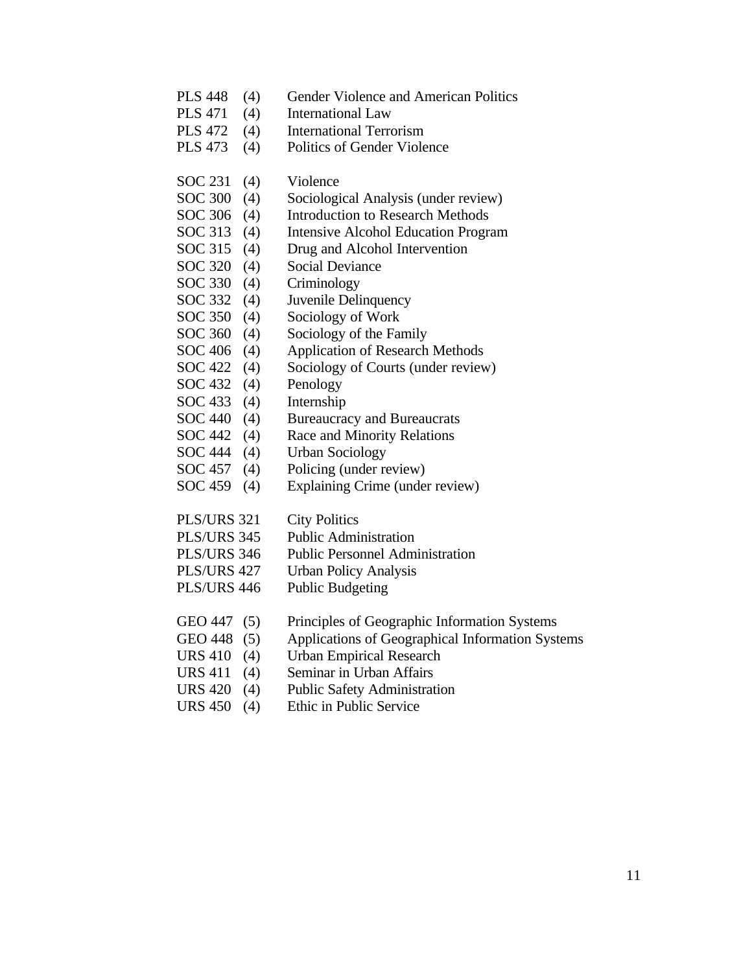- PLS 448 (4) Gender Violence and American Politics
- PLS 471 (4) International Law
- PLS 472 (4) International Terrorism
- PLS 473 (4) Politics of Gender Violence
- SOC 231 (4) Violence
- SOC 300 (4) Sociological Analysis (under review)
- SOC 306 (4) Introduction to Research Methods
- SOC 313 (4) Intensive Alcohol Education Program
- SOC 315 (4) Drug and Alcohol Intervention
- SOC 320 (4) Social Deviance
- SOC 330 (4) Criminology
- SOC 332 (4) Juvenile Delinquency
- SOC 350 (4) Sociology of Work
- SOC 360 (4) Sociology of the Family
- SOC 406 (4) Application of Research Methods
- SOC 422 (4) Sociology of Courts (under review)
- SOC 432 (4) Penology
- SOC 433 (4) Internship
- SOC 440 (4) Bureaucracy and Bureaucrats
- SOC 442 (4) Race and Minority Relations
- SOC 444 (4) Urban Sociology
- SOC 457 (4) Policing (under review)
- SOC 459 (4) Explaining Crime (under review)
- PLS/URS 321 City Politics
- PLS/URS 345 Public Administration
- PLS/URS 346 Public Personnel Administration
- PLS/URS 427 Urban Policy Analysis
- PLS/URS 446 Public Budgeting
- GEO 447 (5) Principles of Geographic Information Systems
- GEO 448 (5) Applications of Geographical Information Systems
- URS 410 (4) Urban Empirical Research
- URS 411 (4) Seminar in Urban Affairs
- URS 420 (4) Public Safety Administration
- URS 450 (4) Ethic in Public Service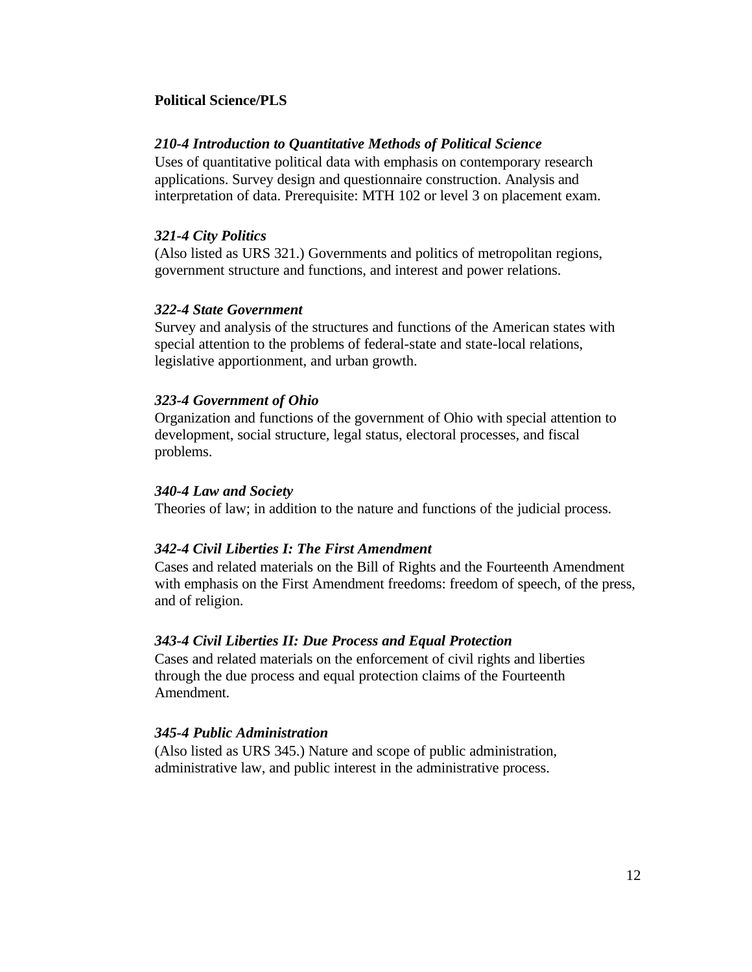#### **Political Science/PLS**

#### *210-4 Introduction to Quantitative Methods of Political Science*

Uses of quantitative political data with emphasis on contemporary research applications. Survey design and questionnaire construction. Analysis and interpretation of data. Prerequisite: MTH 102 or level 3 on placement exam.

#### *321-4 City Politics*

(Also listed as URS 321.) Governments and politics of metropolitan regions, government structure and functions, and interest and power relations.

# *322-4 State Government*

Survey and analysis of the structures and functions of the American states with special attention to the problems of federal-state and state-local relations, legislative apportionment, and urban growth.

#### *323-4 Government of Ohio*

Organization and functions of the government of Ohio with special attention to development, social structure, legal status, electoral processes, and fiscal problems.

#### *340-4 Law and Society*

Theories of law; in addition to the nature and functions of the judicial process.

#### *342-4 Civil Liberties I: The First Amendment*

Cases and related materials on the Bill of Rights and the Fourteenth Amendment with emphasis on the First Amendment freedoms: freedom of speech, of the press, and of religion.

#### *343-4 Civil Liberties II: Due Process and Equal Protection*

Cases and related materials on the enforcement of civil rights and liberties through the due process and equal protection claims of the Fourteenth Amendment.

#### *345-4 Public Administration*

(Also listed as URS 345.) Nature and scope of public administration, administrative law, and public interest in the administrative process.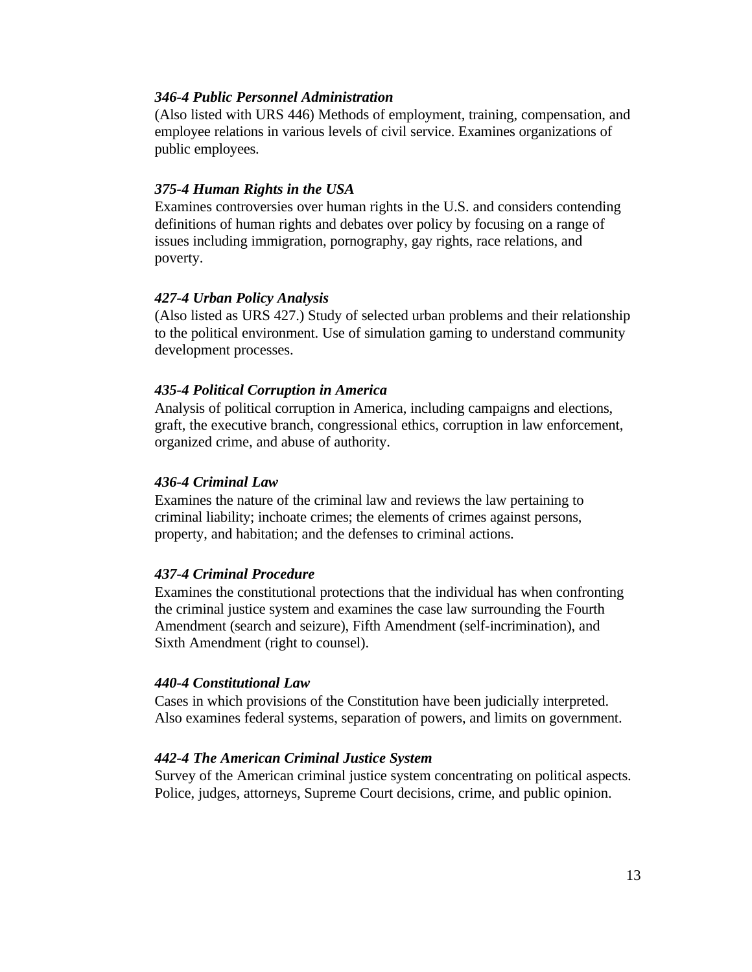# *346-4 Public Personnel Administration*

(Also listed with URS 446) Methods of employment, training, compensation, and employee relations in various levels of civil service. Examines organizations of public employees.

#### *375-4 Human Rights in the USA*

Examines controversies over human rights in the U.S. and considers contending definitions of human rights and debates over policy by focusing on a range of issues including immigration, pornography, gay rights, race relations, and poverty.

#### *427-4 Urban Policy Analysis*

(Also listed as URS 427.) Study of selected urban problems and their relationship to the political environment. Use of simulation gaming to understand community development processes.

#### *435-4 Political Corruption in America*

Analysis of political corruption in America, including campaigns and elections, graft, the executive branch, congressional ethics, corruption in law enforcement, organized crime, and abuse of authority.

#### *436-4 Criminal Law*

Examines the nature of the criminal law and reviews the law pertaining to criminal liability; inchoate crimes; the elements of crimes against persons, property, and habitation; and the defenses to criminal actions.

#### *437-4 Criminal Procedure*

Examines the constitutional protections that the individual has when confronting the criminal justice system and examines the case law surrounding the Fourth Amendment (search and seizure), Fifth Amendment (self-incrimination), and Sixth Amendment (right to counsel).

#### *440-4 Constitutional Law*

Cases in which provisions of the Constitution have been judicially interpreted. Also examines federal systems, separation of powers, and limits on government.

#### *442-4 The American Criminal Justice System*

Survey of the American criminal justice system concentrating on political aspects. Police, judges, attorneys, Supreme Court decisions, crime, and public opinion.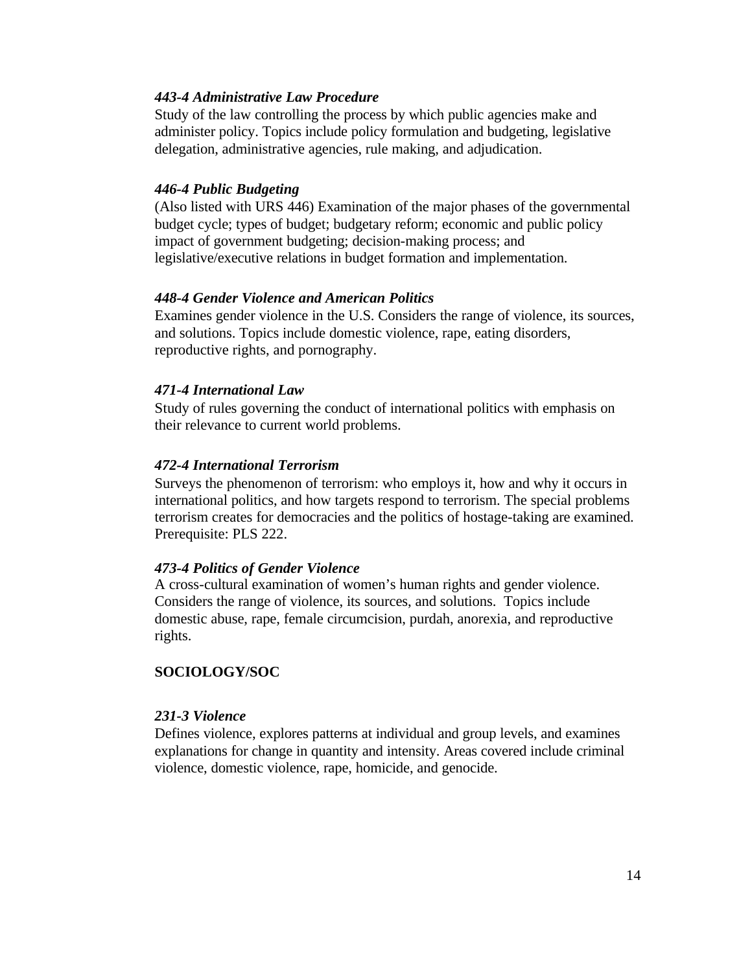#### *443-4 Administrative Law Procedure*

Study of the law controlling the process by which public agencies make and administer policy. Topics include policy formulation and budgeting, legislative delegation, administrative agencies, rule making, and adjudication.

#### *446-4 Public Budgeting*

(Also listed with URS 446) Examination of the major phases of the governmental budget cycle; types of budget; budgetary reform; economic and public policy impact of government budgeting; decision-making process; and legislative/executive relations in budget formation and implementation.

#### *448-4 Gender Violence and American Politics*

Examines gender violence in the U.S. Considers the range of violence, its sources, and solutions. Topics include domestic violence, rape, eating disorders, reproductive rights, and pornography.

#### *471-4 International Law*

Study of rules governing the conduct of international politics with emphasis on their relevance to current world problems.

#### *472-4 International Terrorism*

Surveys the phenomenon of terrorism: who employs it, how and why it occurs in international politics, and how targets respond to terrorism. The special problems terrorism creates for democracies and the politics of hostage-taking are examined. Prerequisite: PLS 222.

#### *473-4 Politics of Gender Violence*

A cross-cultural examination of women's human rights and gender violence. Considers the range of violence, its sources, and solutions. Topics include domestic abuse, rape, female circumcision, purdah, anorexia, and reproductive rights.

# **SOCIOLOGY/SOC**

#### *231-3 Violence*

Defines violence, explores patterns at individual and group levels, and examines explanations for change in quantity and intensity. Areas covered include criminal violence, domestic violence, rape, homicide, and genocide.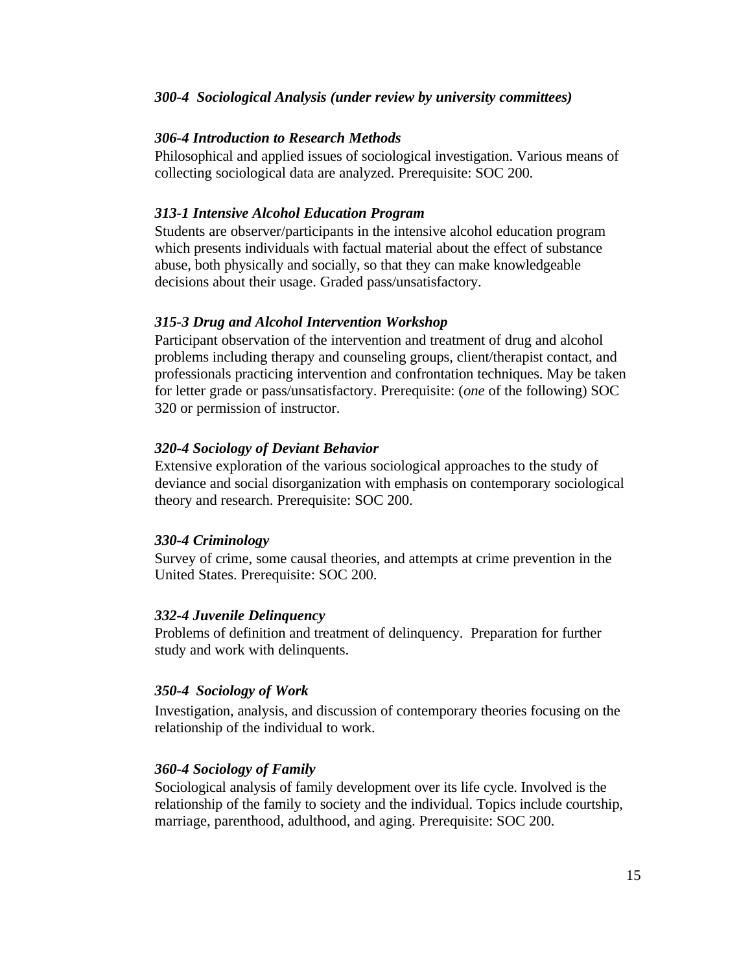#### *300-4 Sociological Analysis (under review by university committees)*

#### *306-4 Introduction to Research Methods*

Philosophical and applied issues of sociological investigation. Various means of collecting sociological data are analyzed. Prerequisite: SOC 200.

#### *313-1 Intensive Alcohol Education Program*

Students are observer/participants in the intensive alcohol education program which presents individuals with factual material about the effect of substance abuse, both physically and socially, so that they can make knowledgeable decisions about their usage. Graded pass/unsatisfactory.

#### *315-3 Drug and Alcohol Intervention Workshop*

Participant observation of the intervention and treatment of drug and alcohol problems including therapy and counseling groups, client/therapist contact, and professionals practicing intervention and confrontation techniques. May be taken for letter grade or pass/unsatisfactory. Prerequisite: (*one* of the following) SOC 320 or permission of instructor.

#### *320-4 Sociology of Deviant Behavior*

Extensive exploration of the various sociological approaches to the study of deviance and social disorganization with emphasis on contemporary sociological theory and research. Prerequisite: SOC 200.

#### *330-4 Criminology*

Survey of crime, some causal theories, and attempts at crime prevention in the United States. Prerequisite: SOC 200.

#### *332-4 Juvenile Delinquency*

Problems of definition and treatment of delinquency. Preparation for further study and work with delinquents.

#### *350-4 Sociology of Work*

Investigation, analysis, and discussion of contemporary theories focusing on the relationship of the individual to work.

#### *360-4 Sociology of Family*

Sociological analysis of family development over its life cycle. Involved is the relationship of the family to society and the individual. Topics include courtship, marriage, parenthood, adulthood, and aging. Prerequisite: SOC 200.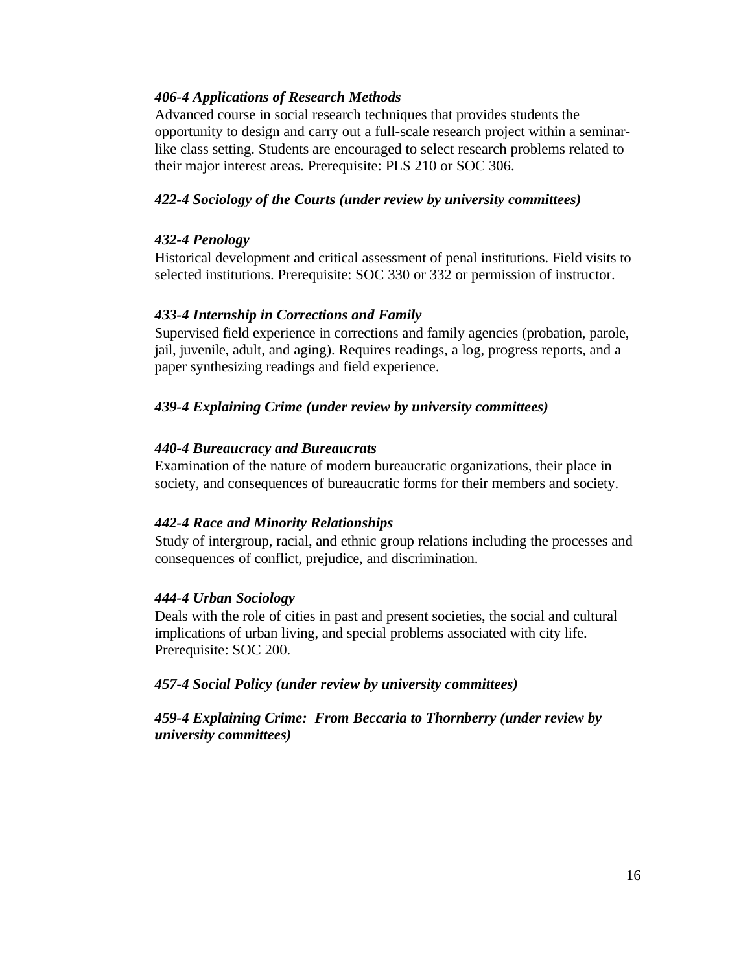# *406-4 Applications of Research Methods*

Advanced course in social research techniques that provides students the opportunity to design and carry out a full-scale research project within a seminarlike class setting. Students are encouraged to select research problems related to their major interest areas. Prerequisite: PLS 210 or SOC 306.

# *422-4 Sociology of the Courts (under review by university committees)*

# *432-4 Penology*

Historical development and critical assessment of penal institutions. Field visits to selected institutions. Prerequisite: SOC 330 or 332 or permission of instructor.

# *433-4 Internship in Corrections and Family*

Supervised field experience in corrections and family agencies (probation, parole, jail, juvenile, adult, and aging). Requires readings, a log, progress reports, and a paper synthesizing readings and field experience.

# *439-4 Explaining Crime (under review by university committees)*

# *440-4 Bureaucracy and Bureaucrats*

Examination of the nature of modern bureaucratic organizations, their place in society, and consequences of bureaucratic forms for their members and society.

# *442-4 Race and Minority Relationships*

Study of intergroup, racial, and ethnic group relations including the processes and consequences of conflict, prejudice, and discrimination.

# *444-4 Urban Sociology*

Deals with the role of cities in past and present societies, the social and cultural implications of urban living, and special problems associated with city life. Prerequisite: SOC 200.

*457-4 Social Policy (under review by university committees)*

*459-4 Explaining Crime: From Beccaria to Thornberry (under review by university committees)*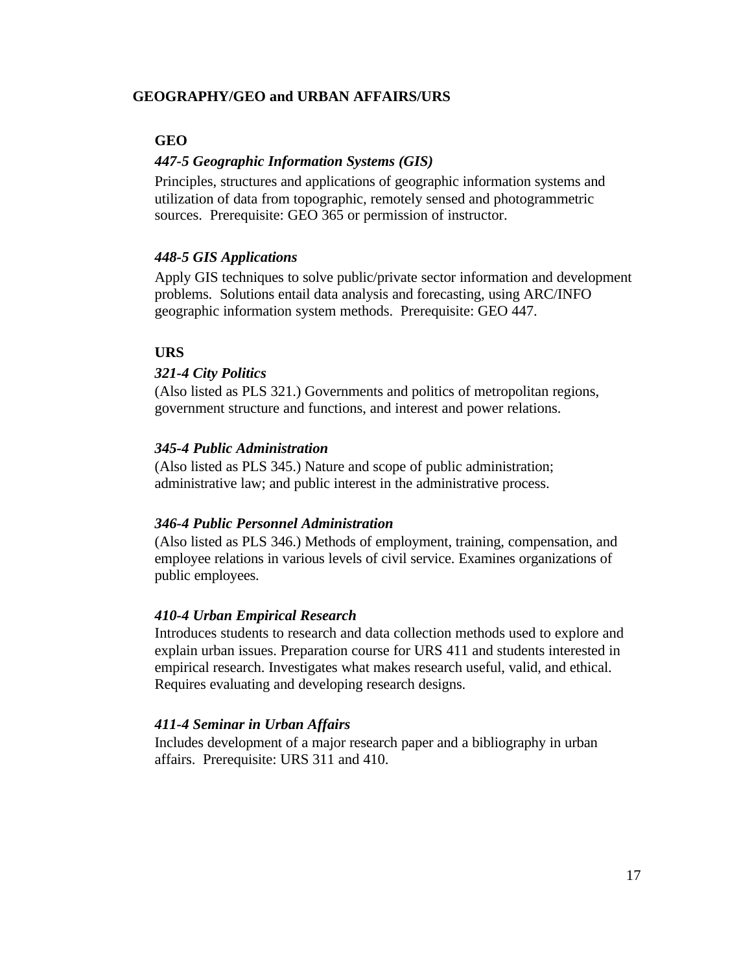# **GEOGRAPHY/GEO and URBAN AFFAIRS/URS**

#### **GEO**

#### *447-5 Geographic Information Systems (GIS)*

Principles, structures and applications of geographic information systems and utilization of data from topographic, remotely sensed and photogrammetric sources. Prerequisite: GEO 365 or permission of instructor.

#### *448-5 GIS Applications*

Apply GIS techniques to solve public/private sector information and development problems. Solutions entail data analysis and forecasting, using ARC/INFO geographic information system methods. Prerequisite: GEO 447.

# **URS**

#### *321-4 City Politics*

(Also listed as PLS 321.) Governments and politics of metropolitan regions, government structure and functions, and interest and power relations.

#### *345-4 Public Administration*

(Also listed as PLS 345.) Nature and scope of public administration; administrative law; and public interest in the administrative process.

#### *346-4 Public Personnel Administration*

(Also listed as PLS 346.) Methods of employment, training, compensation, and employee relations in various levels of civil service. Examines organizations of public employees.

#### *410-4 Urban Empirical Research*

Introduces students to research and data collection methods used to explore and explain urban issues. Preparation course for URS 411 and students interested in empirical research. Investigates what makes research useful, valid, and ethical. Requires evaluating and developing research designs.

#### *411-4 Seminar in Urban Affairs*

Includes development of a major research paper and a bibliography in urban affairs. Prerequisite: URS 311 and 410.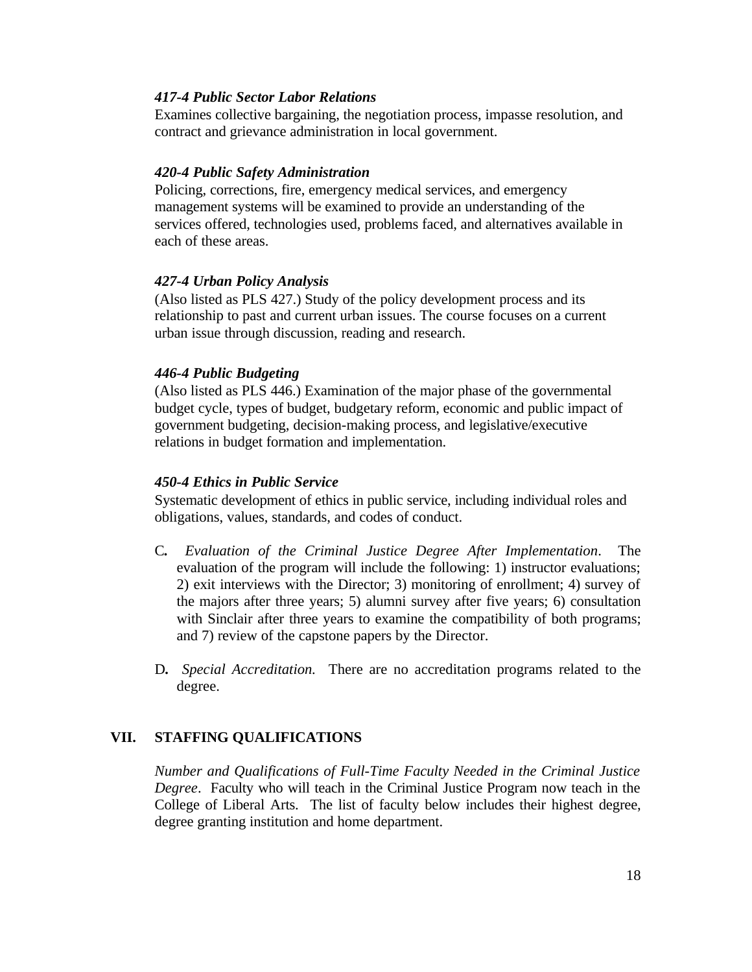#### *417-4 Public Sector Labor Relations*

Examines collective bargaining, the negotiation process, impasse resolution, and contract and grievance administration in local government.

#### *420-4 Public Safety Administration*

Policing, corrections, fire, emergency medical services, and emergency management systems will be examined to provide an understanding of the services offered, technologies used, problems faced, and alternatives available in each of these areas.

#### *427-4 Urban Policy Analysis*

(Also listed as PLS 427.) Study of the policy development process and its relationship to past and current urban issues. The course focuses on a current urban issue through discussion, reading and research.

#### *446-4 Public Budgeting*

(Also listed as PLS 446.) Examination of the major phase of the governmental budget cycle, types of budget, budgetary reform, economic and public impact of government budgeting, decision-making process, and legislative/executive relations in budget formation and implementation.

#### *450-4 Ethics in Public Service*

Systematic development of ethics in public service, including individual roles and obligations, values, standards, and codes of conduct.

- C*. Evaluation of the Criminal Justice Degree After Implementation*. The evaluation of the program will include the following: 1) instructor evaluations; 2) exit interviews with the Director; 3) monitoring of enrollment; 4) survey of the majors after three years; 5) alumni survey after five years; 6) consultation with Sinclair after three years to examine the compatibility of both programs; and 7) review of the capstone papers by the Director.
- D*. Special Accreditation.* There are no accreditation programs related to the degree.

# **VII. STAFFING QUALIFICATIONS**

*Number and Qualifications of Full-Time Faculty Needed in the Criminal Justice Degree*. Faculty who will teach in the Criminal Justice Program now teach in the College of Liberal Arts. The list of faculty below includes their highest degree, degree granting institution and home department.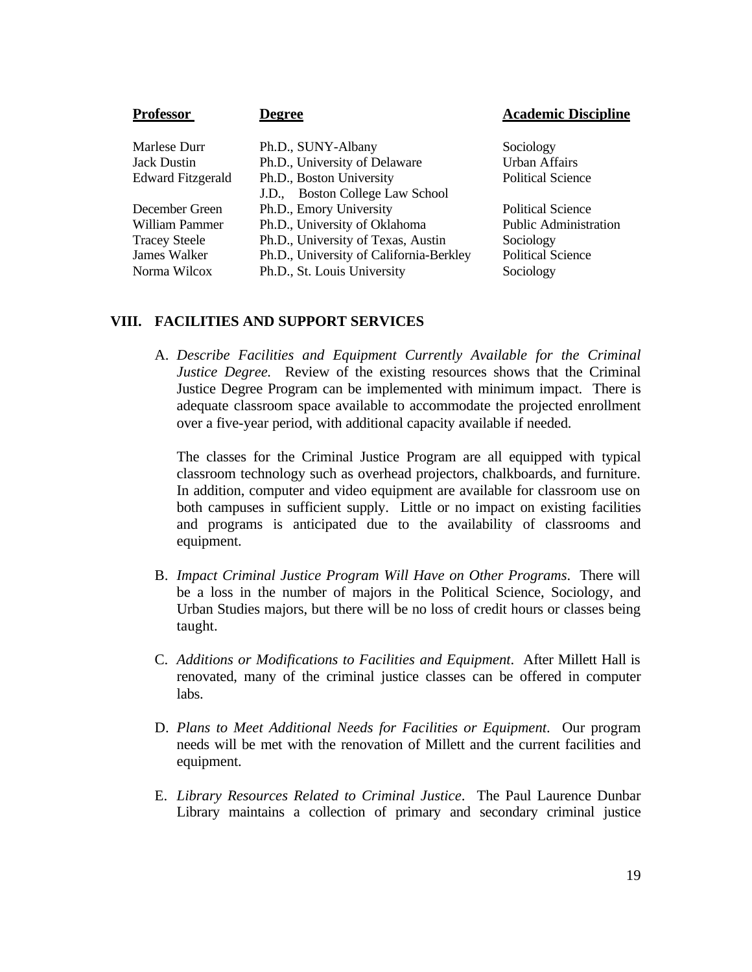| <b>Professor</b>         | Degree                                  | <b>Academic Discipline</b>   |
|--------------------------|-----------------------------------------|------------------------------|
|                          |                                         |                              |
| Marlese Durr             | Ph.D., SUNY-Albany                      | Sociology                    |
| <b>Jack Dustin</b>       | Ph.D., University of Delaware           | <b>Urban Affairs</b>         |
| <b>Edward Fitzgerald</b> | Ph.D., Boston University                | <b>Political Science</b>     |
|                          | J.D., Boston College Law School         |                              |
| December Green           | Ph.D., Emory University                 | <b>Political Science</b>     |
| William Pammer           | Ph.D., University of Oklahoma           | <b>Public Administration</b> |
| <b>Tracey Steele</b>     | Ph.D., University of Texas, Austin      | Sociology                    |
| James Walker             | Ph.D., University of California-Berkley | <b>Political Science</b>     |
| Norma Wilcox             | Ph.D., St. Louis University             | Sociology                    |

#### **VIII. FACILITIES AND SUPPORT SERVICES**

A. *Describe Facilities and Equipment Currently Available for the Criminal Justice Degree.* Review of the existing resources shows that the Criminal Justice Degree Program can be implemented with minimum impact. There is adequate classroom space available to accommodate the projected enrollment over a five-year period, with additional capacity available if needed.

The classes for the Criminal Justice Program are all equipped with typical classroom technology such as overhead projectors, chalkboards, and furniture. In addition, computer and video equipment are available for classroom use on both campuses in sufficient supply. Little or no impact on existing facilities and programs is anticipated due to the availability of classrooms and equipment.

- B. *Impact Criminal Justice Program Will Have on Other Programs*. There will be a loss in the number of majors in the Political Science, Sociology, and Urban Studies majors, but there will be no loss of credit hours or classes being taught.
- C. *Additions or Modifications to Facilities and Equipment*. After Millett Hall is renovated, many of the criminal justice classes can be offered in computer labs.
- D. *Plans to Meet Additional Needs for Facilities or Equipment*. Our program needs will be met with the renovation of Millett and the current facilities and equipment.
- E. *Library Resources Related to Criminal Justice*. The Paul Laurence Dunbar Library maintains a collection of primary and secondary criminal justice